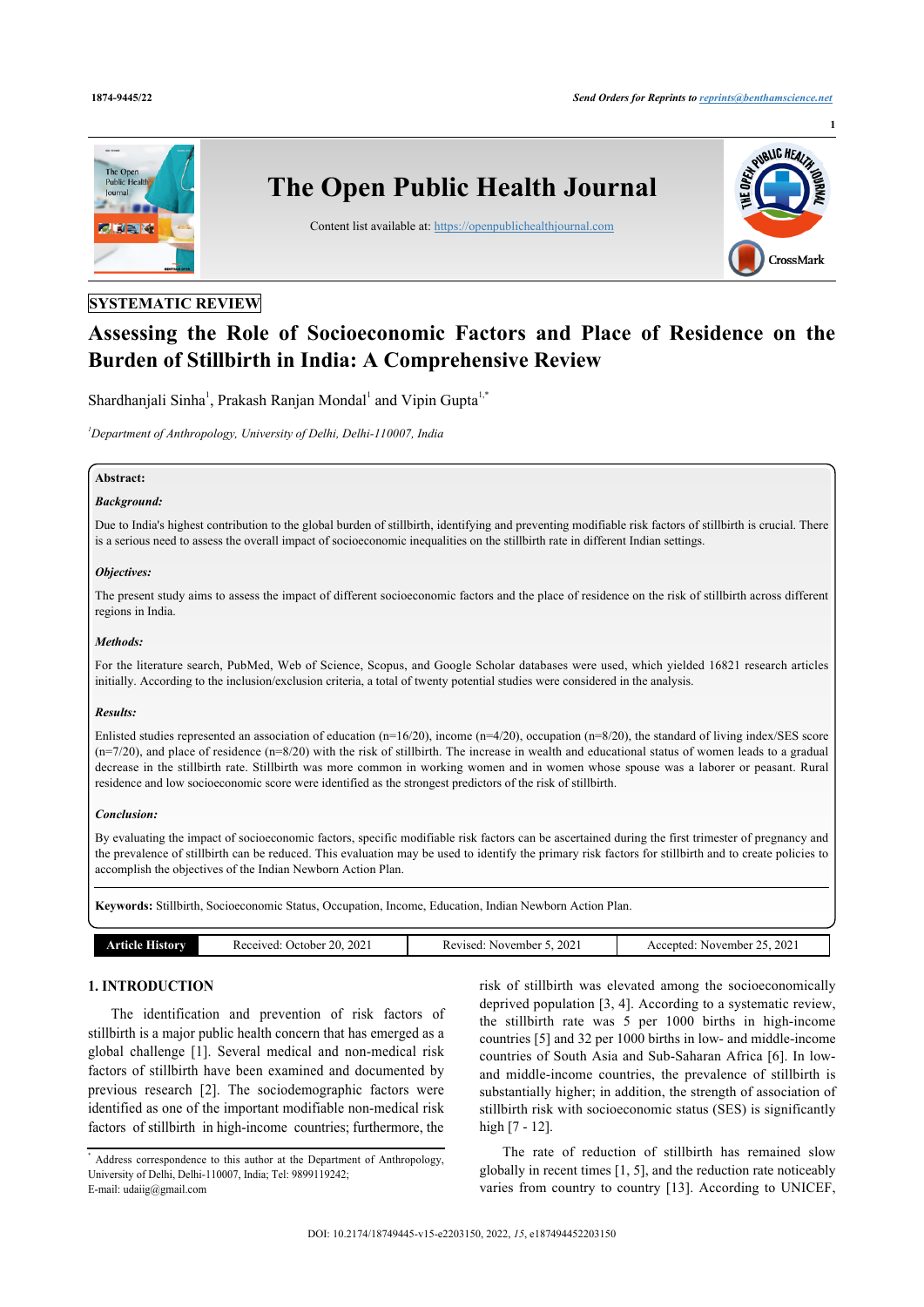**1**



# **SYSTEMATIC REVIEW**

# **Assessing the Role of Socioeconomic Factors and Place of Residence on the Burden of Stillbirth in India: A Comprehensive Review**

Shardhanjali Sinha<sup>[1](#page-0-0)</sup>, Prakash Ranjan Mondal<sup>1</sup> and Vipin Gupta<sup>1[,\\*](#page-0-1)</sup>

<span id="page-0-0"></span>*<sup>1</sup>Department of Anthropology, University of Delhi, Delhi-110007, India*

# **Abstract:**

# *Background:*

Due to India's highest contribution to the global burden of stillbirth, identifying and preventing modifiable risk factors of stillbirth is crucial. There is a serious need to assess the overall impact of socioeconomic inequalities on the stillbirth rate in different Indian settings.

#### *Objectives:*

The present study aims to assess the impact of different socioeconomic factors and the place of residence on the risk of stillbirth across different regions in India.

# *Methods:*

For the literature search, PubMed, Web of Science, Scopus, and Google Scholar databases were used, which yielded 16821 research articles initially. According to the inclusion/exclusion criteria, a total of twenty potential studies were considered in the analysis.

#### *Results:*

Enlisted studies represented an association of education (n=16/20), income (n=4/20), occupation (n=8/20), the standard of living index/SES score  $(n=7/20)$ , and place of residence  $(n=8/20)$  with the risk of stillbirth. The increase in wealth and educational status of women leads to a gradual decrease in the stillbirth rate. Stillbirth was more common in working women and in women whose spouse was a laborer or peasant. Rural residence and low socioeconomic score were identified as the strongest predictors of the risk of stillbirth.

#### *Conclusion:*

By evaluating the impact of socioeconomic factors, specific modifiable risk factors can be ascertained during the first trimester of pregnancy and the prevalence of stillbirth can be reduced. This evaluation may be used to identify the primary risk factors for stillbirth and to create policies to accomplish the objectives of the Indian Newborn Action Plan.

**Keywords:** Stillbirth, Socioeconomic Status, Occupation, Income, Education, Indian Newborn Action Plan.

| History<br>rticle | 2021<br>20<br>. )ctober.<br>Received: | 202<br>Revised:<br>November<br>. | 2021<br>November<br>Accepted<br>$\cdots$ |
|-------------------|---------------------------------------|----------------------------------|------------------------------------------|
|                   |                                       |                                  |                                          |

# **1. INTRODUCTION**

The identification and prevention of risk factors of stillbirth is a major public health concern that has emerged as a global challenge [\[1\]](#page-10-0). Several medical and non-medical risk factors of stillbirth have been examined and documented by previous research[[2\]](#page-10-1). The sociodemographic factors were identified as one of the important modifiable non-medical risk factors of stillbirth in high-income countries; furthermore, the risk of stillbirth was elevated among the socioeconomically deprived population [\[3,](#page-10-2) [4](#page-10-3)]. According to a systematic review, the stillbirth rate was 5 per 1000 births in high-income countries [\[5\]](#page-10-4) and 32 per 1000 births in low- and middle-income countries of South Asia and Sub-Saharan Africa [[6](#page-10-5)]. In lowand middle-income countries, the prevalence of stillbirth is substantially higher; in addition, the strength of association of stillbirth risk with socioeconomic status (SES) is significantly high [\[7](#page-10-6) - [12](#page-10-7)].

The rate of reduction of stillbirth has remained slow globally in recent times [\[1,](#page-10-0) [5\]](#page-10-4), and the reduction rate noticeably varies from country to country [\[13\]](#page-10-8). According to UNICEF,

<span id="page-0-1"></span><sup>\*</sup> Address correspondence to this author at the Department of Anthropology, University of Delhi, Delhi-110007, India; Tel: 9899119242; E-mail: [udaiig@gmail.com](mailto:udaiig@gmail.com)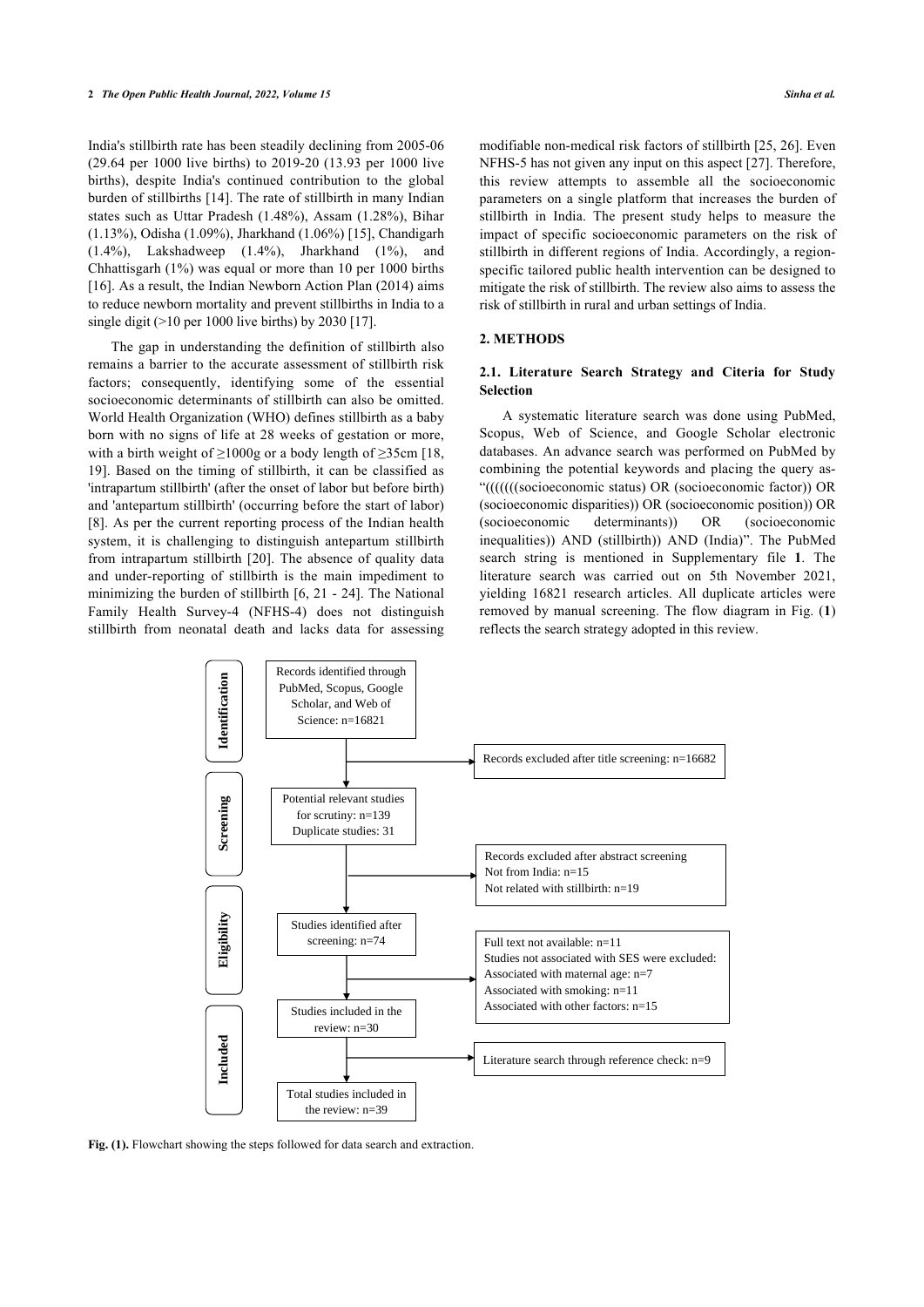India's stillbirth rate has been steadily declining from 2005-06 (29.64 per 1000 live births) to 2019-20 (13.93 per 1000 live births), despite India's continued contribution to the global burden of stillbirths [[14\]](#page-11-0). The rate of stillbirth in many Indian states such as Uttar Pradesh (1.48%), Assam (1.28%), Bihar (1.13%), Odisha (1.09%), Jharkhand (1.06%) [\[15](#page-11-1)], Chandigarh (1.4%), Lakshadweep (1.4%), Jharkhand (1%), and Chhattisgarh (1%) was equal or more than 10 per 1000 births [[16\]](#page-11-2). As a result, the Indian Newborn Action Plan (2014) aims to reduce newborn mortality and prevent stillbirths in India to a single digit  $(>10$  per 1000 live births) by 2030 [[17\]](#page-11-3).

The gap in understanding the definition of stillbirth also remains a barrier to the accurate assessment of stillbirth risk factors; consequently, identifying some of the essential socioeconomic determinants of stillbirth can also be omitted. World Health Organization (WHO) defines stillbirth as a baby born with no signs of life at 28 weeks of gestation or more, with a birth weight of  $\geq 1000g$  or a body length of  $\geq 35cm$  [[18](#page-11-4), [19\]](#page-11-5). Based on the timing of stillbirth, it can be classified as 'intrapartum stillbirth' (after the onset of labor but before birth) and 'antepartum stillbirth' (occurring before the start of labor) [[8](#page-10-9)]. As per the current reporting process of the Indian health system, it is challenging to distinguish antepartum stillbirth from intrapartum stillbirth [\[20\]](#page-11-6). The absence of quality data and under-reporting of stillbirth is the main impediment to minimizing the burden of stillbirth [\[6](#page-10-5), [21](#page-11-7) - [24](#page-11-8)]. The National Family Health Survey-4 (NFHS-4) does not distinguish stillbirth from neonatal death and lacks data for assessing modifiable non-medical risk factors of stillbirth [\[25](#page-11-9), [26](#page-11-10)]. Even NFHS-5 has not given any input on this aspect [[27\]](#page-11-11). Therefore, this review attempts to assemble all the socioeconomic parameters on a single platform that increases the burden of stillbirth in India. The present study helps to measure the impact of specific socioeconomic parameters on the risk of stillbirth in different regions of India. Accordingly, a regionspecific tailored public health intervention can be designed to mitigate the risk of stillbirth. The review also aims to assess the risk of stillbirth in rural and urban settings of India.

#### **2. METHODS**

### **2.1. Literature Search Strategy and Citeria for Study Selection**

A systematic literature search was done using PubMed, Scopus, Web of Science, and Google Scholar electronic databases. An advance search was performed on PubMed by combining the potential keywords and placing the query as- "(((((((socioeconomic status) OR (socioeconomic factor)) OR (socioeconomic disparities)) OR (socioeconomic position)) OR (socioeconomic determinants)) OR (socioeconomic inequalities)) AND (stillbirth)) AND (India)". The PubMed search string is mentioned in Supplementary file **1**. The literature search was carried out on 5th November 2021, yielding 16821 research articles. All duplicate articles were removed by manual screening. The flow diagram in Fig. (**[1](#page-1-0)**) reflects the search strategy adopted in this review.

<span id="page-1-0"></span>

Fig. (1). Flowchart showing the steps followed for data search and extraction.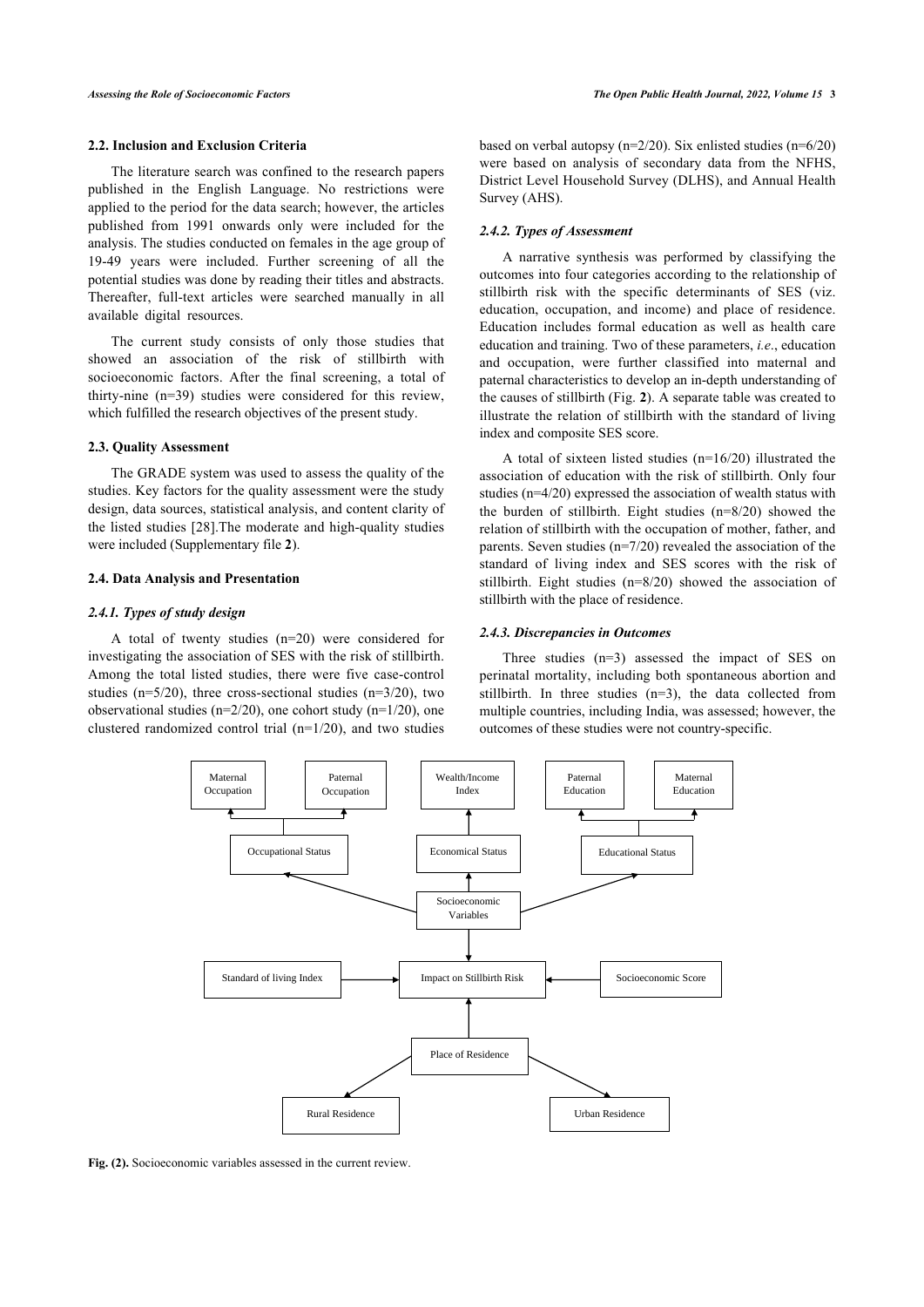#### **2.2. Inclusion and Exclusion Criteria**

The literature search was confined to the research papers published in the English Language. No restrictions were applied to the period for the data search; however, the articles published from 1991 onwards only were included for the analysis. The studies conducted on females in the age group of 19-49 years were included. Further screening of all the potential studies was done by reading their titles and abstracts. Thereafter, full-text articles were searched manually in all available digital resources.

The current study consists of only those studies that showed an association of the risk of stillbirth with socioeconomic factors. After the final screening, a total of thirty-nine (n=39) studies were considered for this review, which fulfilled the research objectives of the present study.

#### **2.3. Quality Assessment**

The GRADE system was used to assess the quality of the studies. Key factors for the quality assessment were the study design, data sourc[es, s](#page-11-12)tatistical analysis, and content clarity of the listed studies [28].The moderate and high-quality studies were included (Supplementary file **2**).

#### **2.4. Data Analysis and Presentation**

#### *2.4.1. Types of study design*

<span id="page-2-0"></span>A total of twenty studies (n=20) were considered for investigating the association of SES with the risk of stillbirth. Among the total listed studies, there were five case-control studies ( $n=5/20$ ), three cross-sectional studies ( $n=3/20$ ), two observational studies ( $n=2/20$ ), one cohort study ( $n=1/20$ ), one clustered randomized control trial (n=1/20), and two studies based on verbal autopsy (n=2/20). Six enlisted studies (n=6/20) were based on analysis of secondary data from the NFHS, District Level Household Survey (DLHS), and Annual Health Survey (AHS).

# *2.4.2. Types of Assessment*

A narrative synthesis was performed by classifying the outcomes into four categories according to the relationship of stillbirth risk with the specific determinants of SES (viz. education, occupation, and income) and place of residence. Education includes formal education as well as health care education and training. Two of these parameters, *i.e*., education and occupation, were further classified into maternal and paternal characteristics to develop an in-depth understanding of the causes of stillbirth (Fig. **[2](#page-2-0)**). A separate table was created to illustrate the relation of stillbirth with the standard of living index and composite SES score.

A total of sixteen listed studies (n=16/20) illustrated the association of education with the risk of stillbirth. Only four studies (n=4/20) expressed the association of wealth status with the burden of stillbirth. Eight studies (n=8/20) showed the relation of stillbirth with the occupation of mother, father, and parents. Seven studies (n=7/20) revealed the association of the standard of living index and SES scores with the risk of stillbirth. Eight studies (n=8/20) showed the association of stillbirth with the place of residence.

#### *2.4.3. Discrepancies in Outcomes*

Three studies  $(n=3)$  assessed the impact of SES on perinatal mortality, including both spontaneous abortion and stillbirth. In three studies (n=3), the data collected from multiple countries, including India, was assessed; however, the outcomes of these studies were not country-specific.



**Fig. (2).** Socioeconomic variables assessed in the current review.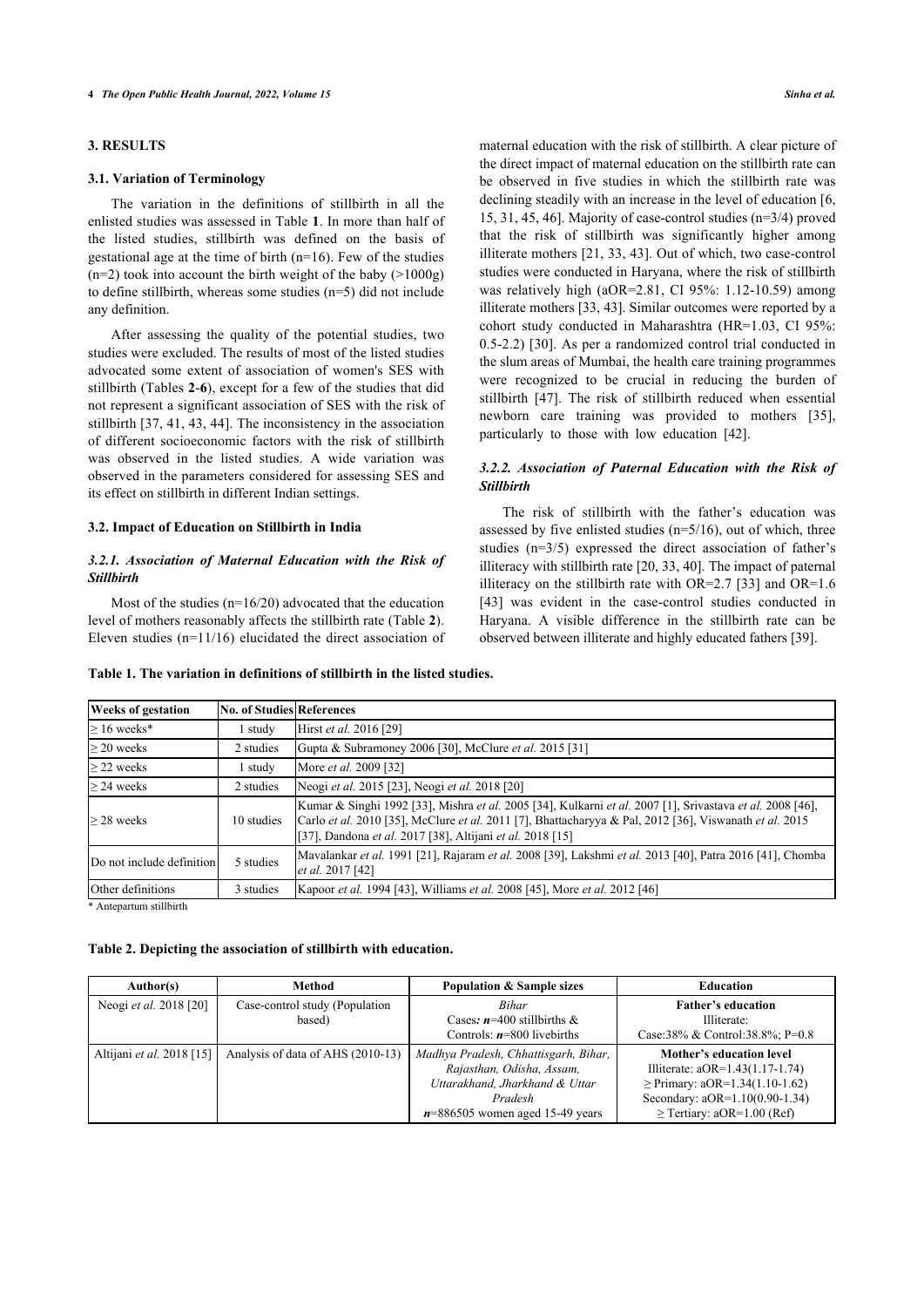# **3. RESULTS**

### **3.1. Variation of Terminology**

The variation in the definitions of stillbirth in all the enlisted studies was assessed in Table **[1](#page-3-0)**. In more than half of the listed studies, stillbirth was defined on the basis of gestational age at the time of birth (n=16). Few of the studies  $(n=2)$  took into account the birth weight of the baby ( $>1000g$ ) to define stillbirth, whereas some studies (n=5) did not include any definition.

After assessing the quality of the potential studies, two studies were excluded. The results of most of the listed studies advocated some extent of association of women's SES with stillbirth (Tables **[2](#page-3-1)**-**[6](#page-7-0)**), except for a few of the studies that did not represent a significant association of SES with the risk of stillbirth [[37,](#page-11-5) [41,](#page-11-13) [43,](#page-11-14) [44\]](#page-11-15). The inconsistency in the association of different socioeconomic factors with the risk of stillbirth was observed in the listed studies. A wide variation was observed in the parameters considered for assessing SES and its effect on stillbirth in different Indian settings.

#### **3.2. Impact of Education on Stillbirth in India**

### *3.2.1. Association of Maternal Education with the Risk of Stillbirth*

Most of the studies (n=16/20) advocated that the education level of mothers reasonably affects the stillbirth rate (Table **[2](#page-3-1)**). Eleven studies (n=11/16) elucidated the direct association of maternal education with the risk of stillbirth. A clear picture of the direct impact of maternal education on the stillbirth rate can be observed in five studies in which the stillbirth rate was declining steadily with an increase in the level of education [[6](#page-10-5), [15](#page-11-1), [31,](#page-11-16) [45](#page-11-17), [46\]](#page-11-18). Majority of case-control studies (n=3/4) proved that the risk of stillbirth was significantly higher among illiterate mothers [[21,](#page-11-7) [33](#page-11-1), [43](#page-11-14)]. Out of which, two case-control studies were conducted in Haryana, where the risk of stillbirth was relatively high (aOR=2.81, CI 95%: 1.12-10.59) among illiterate mothers [[33,](#page-11-1) [43](#page-11-14)]. Similar outcomes were reported by a cohort study conducted in Maharashtra (HR=1.03, CI 95%: 0.5-2.2) [\[30\]](#page-11-19). As per a randomized control trial conducted in the slum areas of Mumbai, the health care training programmes were recognized to be crucial in reducing the burden of stillbirth[[47\]](#page-11-12). The risk of stillbirth reduced when essential newborn care training was provided to mothers[[35](#page-11-20)], particularly to those with low education [\[42](#page-11-21)].

# *3.2.2. Association of Paternal Education with the Risk of Stillbirth*

The risk of stillbirth with the father's education was assessed by five enlisted studies (n=5/16), out of which, three studies (n=3/5) expressed [the](#page-11-6) [dir](#page-11-1)[ect](#page-11-22) association of father's illiteracy with stillbirth rate [20, 33, 40]. The i[mp](#page-11-1)act of paternal i[llit](#page-11-14)eracy on the stillbirth rate with  $OR=2.7$  [33] and  $OR=1.6$ [43] was evident in the case-control studies conducted in Haryana. A visible difference in the stillbirth rate [can](#page-11-7) be observed between illiterate and highly educated fathers [39].

| <b>Weeks of gestation</b> | <b>No. of Studies References</b> |                                                                                                                                                                                                                                                                                  |
|---------------------------|----------------------------------|----------------------------------------------------------------------------------------------------------------------------------------------------------------------------------------------------------------------------------------------------------------------------------|
| $> 16$ weeks*             | 1 study                          | Hirst et al. 2016 [29]                                                                                                                                                                                                                                                           |
| $>$ 20 weeks              | 2 studies                        | Gupta & Subramoney 2006 [30], McClure et al. 2015 [31]                                                                                                                                                                                                                           |
| $>$ 22 weeks              | l study                          | More <i>et al.</i> 2009 [32]                                                                                                                                                                                                                                                     |
| > 24 weeks                | 2 studies                        | Neogi et al. 2015 [23], Neogi et al. 2018 [20]                                                                                                                                                                                                                                   |
| $>$ 28 weeks              | 10 studies                       | Kumar & Singhi 1992 [33], Mishra et al. 2005 [34], Kulkarni et al. 2007 [1], Srivastava et al. 2008 [46],<br>Carlo et al. 2010 [35], McClure et al. 2011 [7], Bhattacharyya & Pal, 2012 [36], Viswanath et al. 2015<br>[37], Dandona et al. 2017 [38], Altijani et al. 2018 [15] |
| Do not include definition | 5 studies                        | Mavalankar et al. 1991 [21], Rajaram et al. 2008 [39], Lakshmi et al. 2013 [40], Patra 2016 [41], Chomba<br><i>et al.</i> 2017 [42]                                                                                                                                              |
| Other definitions         | 3 studies                        | Kapoor et al. 1994 [43], Williams et al. 2008 [45], More et al. 2012 [46]                                                                                                                                                                                                        |

<span id="page-3-0"></span>**Table 1. The variation in definitions of stillbirth in the listed studies.**

Antepartum stillbirth

# <span id="page-3-1"></span>**Table 2. Depicting the association of stillbirth with education.**

| Author(s)                 | <b>Method</b>                     | <b>Population &amp; Sample sizes</b> | <b>Education</b>                    |
|---------------------------|-----------------------------------|--------------------------------------|-------------------------------------|
| Neogi et al. 2018 [20]    | Case-control study (Population    | <b>Bihar</b>                         | <b>Father's education</b>           |
|                           | based)                            | Cases: $n=400$ stillbirths &         | Illiterate:                         |
|                           |                                   | Controls: $n=800$ livebirths         | Case:38% & Control:38.8%; P=0.8     |
| Altijani et al. 2018 [15] | Analysis of data of AHS (2010-13) | Madhya Pradesh, Chhattisgarh, Bihar, | Mother's education level            |
|                           |                                   | Rajasthan, Odisha, Assam,            | Illiterate: aOR=1.43(1.17-1.74)     |
|                           |                                   | Uttarakhand, Jharkhand & Uttar       | $\geq$ Primary: aOR=1.34(1.10-1.62) |
|                           |                                   | Pradesh                              | Secondary: aOR=1.10(0.90-1.34)      |
|                           |                                   | $n=886505$ women aged 15-49 years    | $\geq$ Tertiary: aOR=1.00 (Ref)     |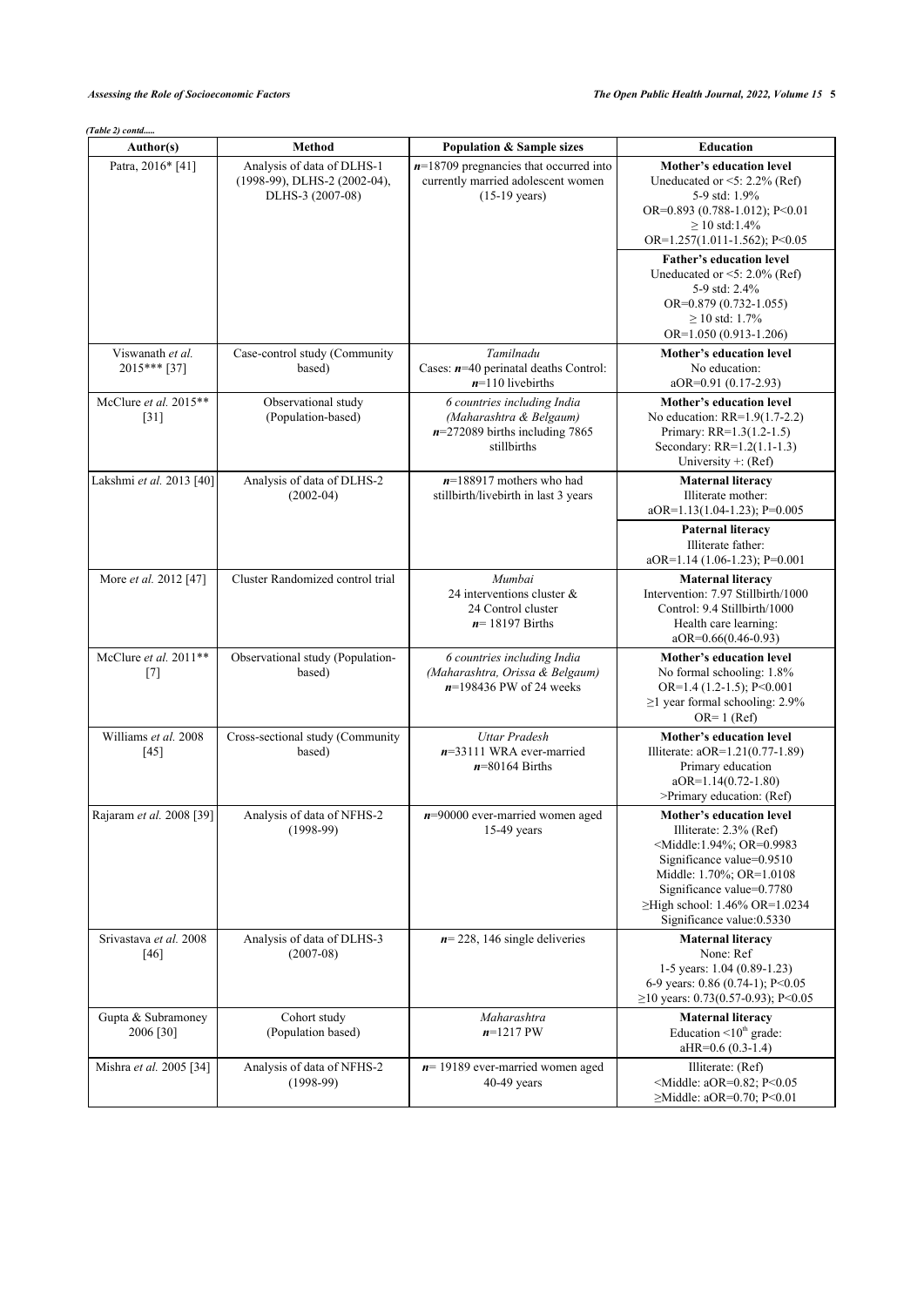*(Table 2) contd.....*

| Author(s)                        | <b>Method</b>                                                                  | <b>Population &amp; Sample sizes</b>                                                                      | <b>Education</b>                                                                                                                                                                                                                                                                               |
|----------------------------------|--------------------------------------------------------------------------------|-----------------------------------------------------------------------------------------------------------|------------------------------------------------------------------------------------------------------------------------------------------------------------------------------------------------------------------------------------------------------------------------------------------------|
| Patra, 2016* [41]                | Analysis of data of DLHS-1<br>(1998-99), DLHS-2 (2002-04),<br>DLHS-3 (2007-08) | $n=18709$ pregnancies that occurred into<br>currently married adolescent women<br>$(15-19 \text{ years})$ | Mother's education level<br>Uneducated or $\leq 5$ : 2.2% (Ref)<br>5-9 std: 1.9%<br>OR=0.893 (0.788-1.012); P<0.01<br>$> 10$ std:1.4%<br>OR= $1.257(1.011-1.562)$ ; P<0.05                                                                                                                     |
|                                  |                                                                                |                                                                                                           | <b>Father's education level</b><br>Uneducated or $\leq 5$ : 2.0% (Ref)<br>5-9 std: 2.4%<br>OR=0.879 (0.732-1.055)<br>$\geq$ 10 std: 1.7%<br>OR=1.050 (0.913-1.206)                                                                                                                             |
| Viswanath et al.<br>2015*** [37] | Case-control study (Community<br>based)                                        | Tamilnadu<br>Cases: $n=40$ perinatal deaths Control:<br>$n=110$ livebirths                                | Mother's education level<br>No education:<br>aOR=0.91 (0.17-2.93)                                                                                                                                                                                                                              |
| McClure et al. 2015**<br>$[31]$  | Observational study<br>(Population-based)                                      | 6 countries including India<br>(Maharashtra & Belgaum)<br>$n=272089$ births including 7865<br>stillbirths | Mother's education level<br>No education: $RR=1.9(1.7-2.2)$<br>Primary: RR=1.3(1.2-1.5)<br>Secondary: RR=1.2(1.1-1.3)<br>University +: $(Ref)$                                                                                                                                                 |
| Lakshmi et al. 2013 [40]         | Analysis of data of DLHS-2<br>$(2002-04)$                                      | $n=188917$ mothers who had<br>stillbirth/livebirth in last 3 years                                        | <b>Maternal literacy</b><br>Illiterate mother:<br>aOR=1.13(1.04-1.23); P=0.005                                                                                                                                                                                                                 |
|                                  |                                                                                |                                                                                                           | <b>Paternal literacy</b><br>Illiterate father:<br>$aOR=1.14(1.06-1.23)$ ; P=0.001                                                                                                                                                                                                              |
| More et al. 2012 [47]            | Cluster Randomized control trial                                               | Mumbai<br>24 interventions cluster $\&$<br>24 Control cluster<br>$n=18197$ Births                         | <b>Maternal literacy</b><br>Intervention: 7.97 Stillbirth/1000<br>Control: 9.4 Stillbirth/1000<br>Health care learning:<br>$aOR=0.66(0.46-0.93)$                                                                                                                                               |
| McClure et al. 2011**<br>$[7]$   | Observational study (Population-<br>based)                                     | 6 countries including India<br>(Maharashtra, Orissa & Belgaum)<br>$n=198436$ PW of 24 weeks               | Mother's education level<br>No formal schooling: 1.8%<br>OR= $1.4$ (1.2-1.5); P<0.001<br>$\geq$ 1 year formal schooling: 2.9%<br>$OR=1$ (Ref)                                                                                                                                                  |
| Williams et al. 2008<br>$[45]$   | Cross-sectional study (Community<br>based)                                     | <b>Uttar Pradesh</b><br>$n=33111$ WRA ever-married<br>$n=80164$ Births                                    | Mother's education level<br>Illiterate: aOR=1.21(0.77-1.89)<br>Primary education<br>aOR=1.14(0.72-1.80)<br>>Primary education: (Ref)                                                                                                                                                           |
| Rajaram et al. 2008 [39]         | Analysis of data of NFHS-2<br>$(1998-99)$                                      | $n=90000$ ever-married women aged<br>$15-49$ years                                                        | <b>Mother's education level</b><br>Illiterate: 2.3% (Ref)<br><middle:1.94%; or="0.9983&lt;br">Significance value=0.9510<br/>Middle: 1.70%; OR=1.0108<br/>Significance value=0.7780<br/>≥High school: <math>1.46\%</math> OR=<math>1.0234</math><br/>Significance value: 0.5330</middle:1.94%;> |
| Srivastava et al. 2008<br>[46]   | Analysis of data of DLHS-3<br>$(2007-08)$                                      | $n=228$ , 146 single deliveries                                                                           | <b>Maternal literacy</b><br>None: Ref<br>1-5 years: $1.04$ (0.89-1.23)<br>6-9 years: 0.86 (0.74-1); P<0.05<br>≥10 years: 0.73(0.57-0.93); P<0.05                                                                                                                                               |
| Gupta & Subramoney<br>2006 [30]  | Cohort study<br>(Population based)                                             | Maharashtra<br>$n=1217$ PW                                                                                | <b>Maternal literacy</b><br>Education $\leq 10^{\text{th}}$ grade:<br>aHR=0.6 (0.3-1.4)                                                                                                                                                                                                        |
| Mishra et al. 2005 [34]          | Analysis of data of NFHS-2<br>$(1998-99)$                                      | $n=19189$ ever-married women aged<br>40-49 years                                                          | Illiterate: (Ref)<br><middle: aor="0.82;" p<0.05<br=""><math>\geq</math>Middle: aOR=0.70; P&lt;0.01</middle:>                                                                                                                                                                                  |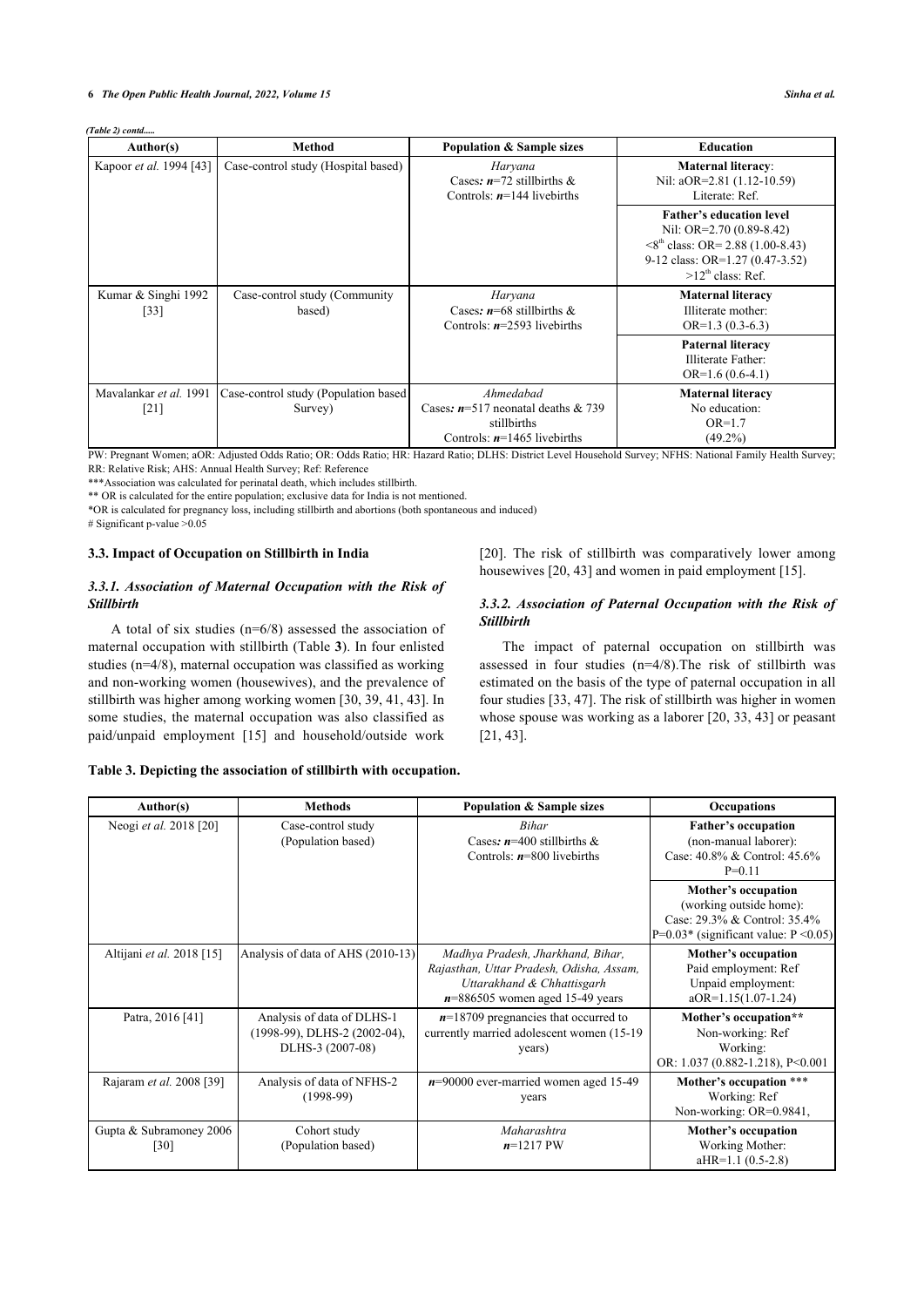#### **6** *The Open Public Health Journal, 2022, Volume 15 Sinha et al.*

*(Table 2) contd.....*

| Author(s)                                    | <b>Method</b>                                    | <b>Population &amp; Sample sizes</b>                                                              | <b>Education</b>                                                                                                                                                     |
|----------------------------------------------|--------------------------------------------------|---------------------------------------------------------------------------------------------------|----------------------------------------------------------------------------------------------------------------------------------------------------------------------|
| Kapoor et al. 1994 [43]                      | Case-control study (Hospital based)              | Haryana<br>Cases: $n=72$ stillbirths &<br>Controls: $n=144$ livebirths                            | <b>Maternal literacy:</b><br>Nil: aOR=2.81 (1.12-10.59)<br>Literate: Ref.                                                                                            |
|                                              |                                                  |                                                                                                   | <b>Father's education level</b><br>Nil: OR=2.70 (0.89-8.42)<br>$\leq8^{th}$ class: OR= 2.88 (1.00-8.43)<br>9-12 class: OR=1.27 (0.47-3.52)<br>$>12^{th}$ class: Ref. |
| Kumar & Singhi 1992<br>[33]                  | Case-control study (Community)<br>based)         | Haryana<br>Cases: $n=68$ stillbirths &<br>Controls: $n=2593$ livebirths                           | <b>Maternal literacy</b><br>Illiterate mother:<br>$OR=1.3(0.3-6.3)$                                                                                                  |
|                                              |                                                  |                                                                                                   | <b>Paternal literacy</b><br>Illiterate Father:<br>$OR=1.6(0.6-4.1)$                                                                                                  |
| Mavalankar et al. 1991<br>$\lceil 21 \rceil$ | Case-control study (Population based)<br>Survey) | Ahmedabad<br>Cases: $n=517$ neonatal deaths & 739<br>stillbirths<br>Controls: $n=1465$ livebirths | <b>Maternal literacy</b><br>No education:<br>$OR=1.7$<br>$(49.2\%)$                                                                                                  |

PW: Pregnant Women; aOR: Adjusted Odds Ratio; OR: Odds Ratio; HR: Hazard Ratio; DLHS: District Level Household Survey; NFHS: National Family Health Survey; RR: Relative Risk; AHS: Annual Health Survey; Ref: Reference

\*\*\*Association was calculated for perinatal death, which includes stillbirth.

\*\* OR is calculated for the entire population; exclusive data for India is not mentioned.

\*OR is calculated for pregnancy loss, including stillbirth and abortions (both spontaneous and induced)

# Significant p-value  $>0.05$ 

# **3.3. Impact of Occupation on Stillbirth in India**

# *3.3.1. Association of Maternal Occupation with the Risk of Stillbirth*

A total of six studies (n=6/8) assessed the association of maternal occupation with stillbirth (Table **[3](#page-5-0)**). In four enlisted studies (n=4/8), maternal occupation was classified as working and non-working women (housewives), and the prevalence of stillbirth was higher among working women [[30,](#page-11-19) [39](#page-11-7), [41,](#page-11-13) [43](#page-11-14)]. In some studies, the maternal occupation was also classified as paid/unpaid employment[[15\]](#page-11-1) and household/outside work

[[20](#page-11-6)]. The risk of stillbirth was comparatively lower among housewives [\[20](#page-11-6), [43\]](#page-11-14) and women in paid employment [\[15](#page-11-1)].

# *3.3.2. Association of Paternal Occupation with the Risk of Stillbirth*

The impact of paternal occupation on stillbirth was assessed in four studies (n=4/8).The risk of stillbirth was estimated on the basis of the type of paternal occupation in all four studies [[33,](#page-11-1) [47](#page-11-12)]. The risk of stillbirth was higher in women whose spouse was working as a laborer [[20](#page-11-6), [33,](#page-11-1) [43\]](#page-11-14) or peasant [[21,](#page-11-7) [43](#page-11-14)].

# <span id="page-5-0"></span>**Table 3. Depicting the association of stillbirth with occupation.**

| Author(s)                       | <b>Methods</b>                                                                 | <b>Population &amp; Sample sizes</b>                                                                                                             | <b>Occupations</b>                                                                                                               |
|---------------------------------|--------------------------------------------------------------------------------|--------------------------------------------------------------------------------------------------------------------------------------------------|----------------------------------------------------------------------------------------------------------------------------------|
| Neogi et al. 2018 [20]          | Case-control study<br>(Population based)                                       | <b>Bihar</b><br>Cases: $n=400$ stillbirths &<br>Controls: $n=800$ livebirths                                                                     | <b>Father's occupation</b><br>(non-manual laborer):<br>Case: 40.8% & Control: 45.6%<br>$P=0.11$                                  |
|                                 |                                                                                |                                                                                                                                                  | <b>Mother's occupation</b><br>(working outside home):<br>Case: 29.3% & Control: 35.4%<br>$P=0.03*$ (significant value: P < 0.05) |
| Altijani et al. 2018 [15]       | Analysis of data of AHS (2010-13)                                              | Madhya Pradesh, Jharkhand, Bihar,<br>Rajasthan, Uttar Pradesh, Odisha, Assam,<br>Uttarakhand & Chhattisgarh<br>$n=886505$ women aged 15-49 years | Mother's occupation<br>Paid employment: Ref<br>Unpaid employment:<br>$aOR=1.15(1.07-1.24)$                                       |
| Patra, 2016 [41]                | Analysis of data of DLHS-1<br>(1998-99), DLHS-2 (2002-04),<br>DLHS-3 (2007-08) | $n=18709$ pregnancies that occurred to<br>currently married adolescent women (15-19)<br>years)                                                   | Mother's occupation**<br>Non-working: Ref<br>Working:<br>OR: 1.037 (0.882-1.218), P<0.001                                        |
| Rajaram et al. 2008 [39]        | Analysis of data of NFHS-2<br>$(1998-99)$                                      | $n=90000$ ever-married women aged 15-49<br>years                                                                                                 | Mother's occupation ***<br>Working: Ref<br>Non-working: OR=0.9841,                                                               |
| Gupta & Subramoney 2006<br>[30] | Cohort study<br>(Population based)                                             | Maharashtra<br>$n=1217$ PW                                                                                                                       | Mother's occupation<br>Working Mother:<br>$aHR=1.1(0.5-2.8)$                                                                     |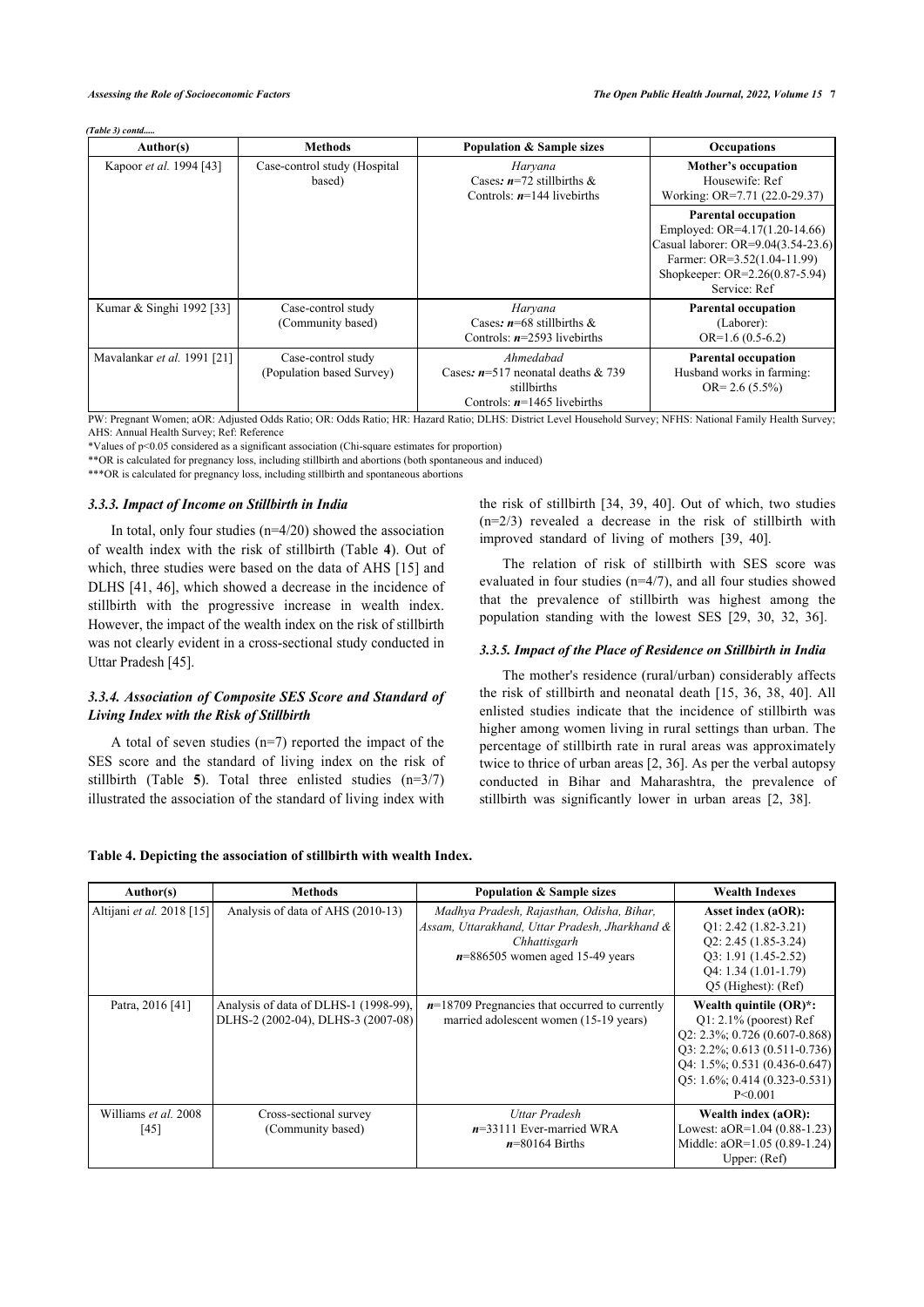#### *(Table 3) contd.....*

| Author(s)                   | <b>Methods</b>                                  | <b>Population &amp; Sample sizes</b>                                                              | <b>Occupations</b>                                                                                                                                                                   |
|-----------------------------|-------------------------------------------------|---------------------------------------------------------------------------------------------------|--------------------------------------------------------------------------------------------------------------------------------------------------------------------------------------|
| Kapoor et al. 1994 [43]     | Case-control study (Hospital<br>based)          | Haryana<br>Cases: $n=72$ stillbirths &<br>Controls: $n=144$ livebirths                            | Mother's occupation<br>Housewife: Ref<br>Working: OR=7.71 (22.0-29.37)                                                                                                               |
|                             |                                                 |                                                                                                   | <b>Parental occupation</b><br>Employed: $OR=4.17(1.20-14.66)$<br>Casual laborer: OR=9.04(3.54-23.6)<br>Farmer: OR=3.52(1.04-11.99)<br>Shopkeeper: OR=2.26(0.87-5.94)<br>Service: Ref |
| Kumar & Singhi 1992 [33]    | Case-control study<br>(Community based)         | Haryana<br>Cases: $n=68$ stillbirths &<br>Controls: $n=2593$ livebirths                           | <b>Parental occupation</b><br>(Laborer):<br>$OR=1.6(0.5-6.2)$                                                                                                                        |
| Mavalankar et al. 1991 [21] | Case-control study<br>(Population based Survey) | Ahmedabad<br>Cases: $n=517$ neonatal deaths & 739<br>stillbirths<br>Controls: $n=1465$ livebirths | <b>Parental occupation</b><br>Husband works in farming:<br>$OR = 2.6 (5.5\%)$                                                                                                        |

PW: Pregnant Women; aOR: Adjusted Odds Ratio; OR: Odds Ratio; HR: Hazard Ratio; DLHS: District Level Household Survey; NFHS: National Family Health Survey; AHS: Annual Health Survey; Ref: Reference

\*Values of p<0.05 considered as a significant association (Chi-square estimates for proportion)

\*\*OR is calculated for pregnancy loss, including stillbirth and abortions (both spontaneous and induced)

\*\*\*OR is calculated for pregnancy loss, including stillbirth and spontaneous abortions

#### *3.3.3. Impact of Income on Stillbirth in India*

In total, only four studies  $(n=4/20)$  showed the association of wealth index with the risk of stillbirth (Table**4**). Out of which, three studies were based on the data of AHS [[15](#page-11-1)] and DLHS [[41,](#page-11-13) [46](#page-11-18)], which showed a decrease in the incidence of stillbirth with the progressive increase in wealth index. However, the impact of the wealth index on the risk of stillbirth was not clearl[y ev](#page-11-17)ident in a cross-sectional study conducted in Uttar Pradesh [45].

# *3.3.4. Association of Composite SES Score and Standard of Living Index with the Risk of Stillbirth*

A total of seven studies (n=7) reported the impact of the SES score and t[he](#page-7-1) standard of living index on the risk of stillbirth (Table **5**). Total three enlisted studies (n=3/7) illustrated the association of the standard of living index with

the risk of stillbirth [[34,](#page-11-26) [39,](#page-11-7) [40\]](#page-11-22). Out of which, two studies (n=2/3) revealed a decrease in the risk of stillbirth with improved standard of living of mothers [\[39](#page-11-7), [40\]](#page-11-22).

The relation of risk of stillbirth with SES score was evaluated in four studies (n=4/7), and all four studies showed that the prevalence of stillbirth was highest among the population standing with the lowest SES [\[29](#page-11-23), [30,](#page-11-19) [32](#page-11-24), [36\]](#page-11-4).

### *3.3.5. Impact of the Place of Residence on Stillbirth in India*

The mother's residence (rural/urban) considerably affects the risk of stillbirth and neonatal death [\[15,](#page-11-1) [36](#page-11-4), [38](#page-11-6), [40](#page-11-22)]. All enlisted studies indicate that the incidence of stillbirth was higher among women living in rural settings than urban. The percentage of stillbirth rate in rural areas was approximately twice to thrice of urban areas [[2,](#page-10-1) [36](#page-11-4)]. As per the verbal autopsy conducted in Bihar and Maharashtra, the prevalence of stillbirth was significantly lower in urban areas[[2](#page-10-1), [38\]](#page-11-6).

### <span id="page-6-0"></span>**Table 4. Depicting the association of stillbirth with wealth Index.**

| Author(s)                    | <b>Methods</b>                                                              | <b>Population &amp; Sample sizes</b>                                                                                                             | <b>Wealth Indexes</b>                                                                                                                                                                                                          |
|------------------------------|-----------------------------------------------------------------------------|--------------------------------------------------------------------------------------------------------------------------------------------------|--------------------------------------------------------------------------------------------------------------------------------------------------------------------------------------------------------------------------------|
| Altijani et al. 2018 [15]    | Analysis of data of AHS (2010-13)                                           | Madhya Pradesh, Rajasthan, Odisha, Bihar,<br>Assam, Uttarakhand, Uttar Pradesh, Jharkhand &<br>Chhattisgarh<br>$n=886505$ women aged 15-49 years | Asset index (aOR):<br>$Q1: 2.42 (1.82 - 3.21)$<br>$Q2: 2.45(1.85-3.24)$<br>$Q3: 1.91 (1.45-2.52)$<br>$Q4: 1.34(1.01-1.79)$<br>Q5 (Highest): (Ref)                                                                              |
| Patra, 2016 [41]             | Analysis of data of DLHS-1 (1998-99).<br>DLHS-2 (2002-04), DLHS-3 (2007-08) | $n=18709$ Pregnancies that occurred to currently<br>married adolescent women (15-19 years)                                                       | Wealth quintile $(OR)^*$ :<br>$Q1: 2.1\%$ (poorest) Ref<br>$Q2: 2.3\%; 0.726(0.607-0.868)$<br>$Q3: 2.2\%$ ; 0.613 (0.511-0.736)<br>$[04: 1.5\%; 0.531(0.436-0.647)]$<br>$\vert$ Q5: 1.6%; 0.414 (0.323-0.531)<br>$P \le 0.001$ |
| Williams et al. 2008<br>[45] | Cross-sectional survey<br>(Community based)                                 | Uttar Pradesh<br>$n=33111$ Ever-married WRA<br>$n=80164$ Births                                                                                  | Wealth index (aOR):<br>Lowest: $aOR=1.04(0.88-1.23)$<br>Middle: aOR=1.05 (0.89-1.24)<br>Upper: $(Ref)$                                                                                                                         |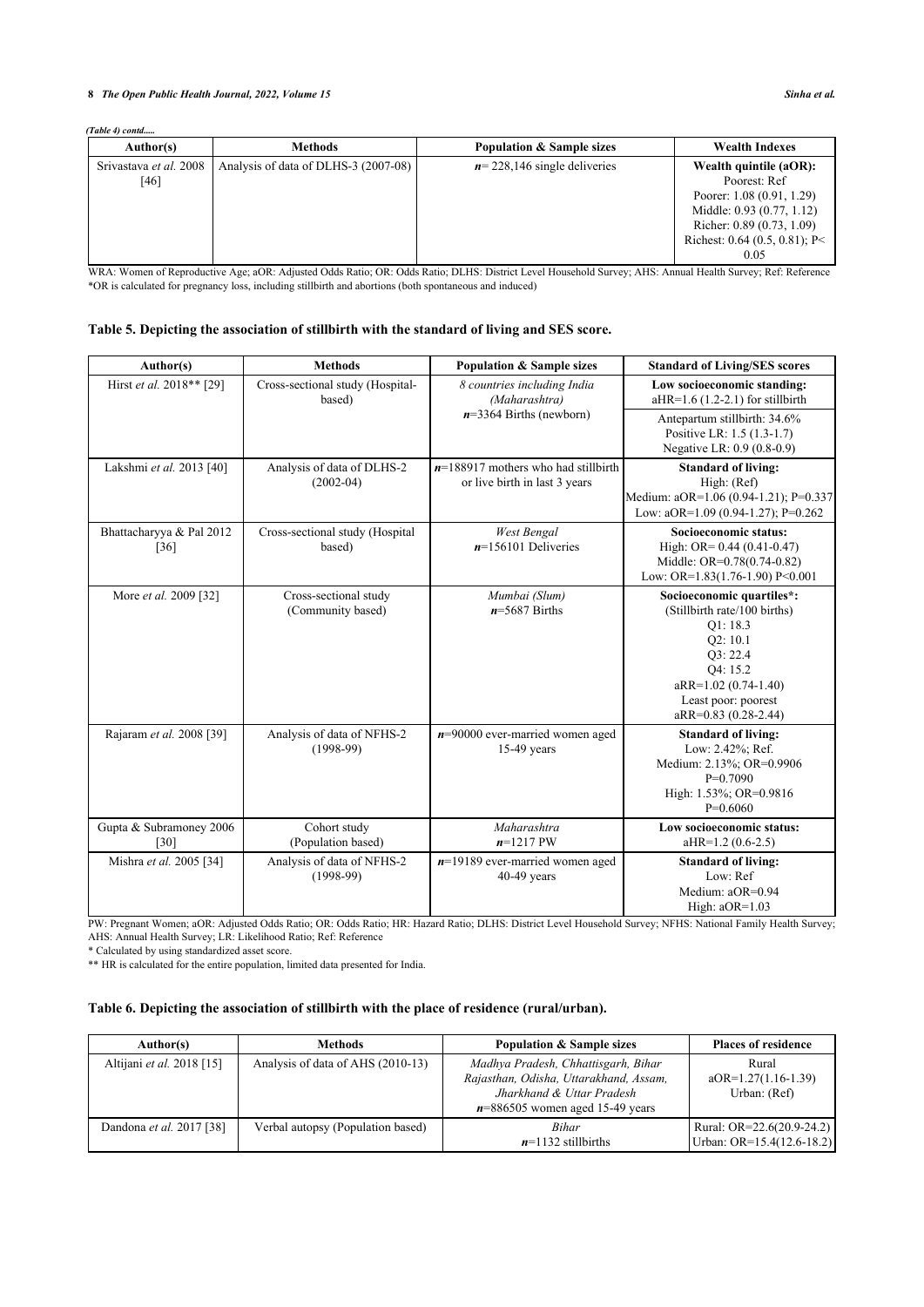# **8** *The Open Public Health Journal, 2022, Volume 15 Sinha et al.*

*(Table 4) contd.....*

| Author(s)                      | <b>Methods</b>                       | <b>Population &amp; Sample sizes</b> | <b>Wealth Indexes</b>                                                                                                                                                    |
|--------------------------------|--------------------------------------|--------------------------------------|--------------------------------------------------------------------------------------------------------------------------------------------------------------------------|
| Srivastava et al. 2008<br>[46] | Analysis of data of DLHS-3 (2007-08) | $n = 228,146$ single deliveries      | Wealth quintile (aOR):<br>Poorest: Ref<br>Poorer: 1.08 (0.91, 1.29)<br>Middle: 0.93 (0.77, 1.12)<br>Richer: 0.89 (0.73, 1.09)<br>Richest: $0.64$ (0.5, 0.81); P<<br>0.05 |

WRA: Women of Reproductive Age; aOR: Adjusted Odds Ratio; OR: Odds Ratio; DLHS: District Level Household Survey; AHS: Annual Health Survey; Ref: Reference \*OR is calculated for pregnancy loss, including stillbirth and abortions (both spontaneous and induced)

# <span id="page-7-1"></span>**Table 5. Depicting the association of stillbirth with the standard of living and SES score.**

| Author(s)                          | <b>Methods</b>                             | <b>Population &amp; Sample sizes</b>                                   | <b>Standard of Living/SES scores</b>                                                                                                                                           |
|------------------------------------|--------------------------------------------|------------------------------------------------------------------------|--------------------------------------------------------------------------------------------------------------------------------------------------------------------------------|
| Hirst et al. 2018** [29]           | Cross-sectional study (Hospital-<br>based) | 8 countries including India<br>(Maharashtra)                           | Low socioeconomic standing:<br>$aHR=1.6(1.2-2.1)$ for stillbirth                                                                                                               |
|                                    |                                            | $n=3364$ Births (newborn)                                              | Antepartum stillbirth: 34.6%<br>Positive LR: 1.5 (1.3-1.7)<br>Negative LR: 0.9 (0.8-0.9)                                                                                       |
| Lakshmi et al. 2013 [40]           | Analysis of data of DLHS-2<br>$(2002-04)$  | $n=188917$ mothers who had stillbirth<br>or live birth in last 3 years | <b>Standard of living:</b><br>High: (Ref)<br>Medium: aOR=1.06 (0.94-1.21); P=0.337<br>Low: $aOR=1.09(0.94-1.27)$ ; P=0.262                                                     |
| Bhattacharyya & Pal 2012<br>$[36]$ | Cross-sectional study (Hospital<br>based)  | <b>West Bengal</b><br>$n=156101$ Deliveries                            | Socioeconomic status:<br>High: $OR = 0.44 (0.41 - 0.47)$<br>Middle: OR=0.78(0.74-0.82)<br>Low: OR= $1.83(1.76-1.90)$ P<0.001                                                   |
| More et al. 2009 [32]              | Cross-sectional study<br>(Community based) | Mumbai (Slum)<br>$n=5687$ Births                                       | Socioeconomic quartiles*:<br>(Stillbirth rate/100 births)<br>Q1:18.3<br>Q2:10.1<br>O3: 22.4<br>O4: 15.2<br>aRR=1.02 (0.74-1.40)<br>Least poor: poorest<br>aRR=0.83 (0.28-2.44) |
| Rajaram et al. 2008 [39]           | Analysis of data of NFHS-2<br>$(1998-99)$  | $n=90000$ ever-married women aged<br>$15-49$ years                     | <b>Standard of living:</b><br>Low: 2.42%; Ref.<br>Medium: 2.13%; OR=0.9906<br>$P=0.7090$<br>High: 1.53%; OR=0.9816<br>$P=0.6060$                                               |
| Gupta & Subramoney 2006<br>[30]    | Cohort study<br>(Population based)         | Maharashtra<br>$n=1217$ PW                                             | Low socioeconomic status:<br>$aHR=1.2(0.6-2.5)$                                                                                                                                |
| Mishra et al. 2005 [34]            | Analysis of data of NFHS-2<br>$(1998-99)$  | $n=19189$ ever-married women aged<br>$40-49$ years                     | <b>Standard of living:</b><br>Low: Ref<br>Medium: aOR=0.94<br>High: $aOR=1.03$                                                                                                 |

PW: Pregnant Women; aOR: Adjusted Odds Ratio; OR: Odds Ratio; HR: Hazard Ratio; DLHS: District Level Household Survey; NFHS: National Family Health Survey; AHS: Annual Health Survey; LR: Likelihood Ratio; Ref: Reference

\* Calculated by using standardized asset score.

\*\* HR is calculated for the entire population, limited data presented for India.

# <span id="page-7-0"></span>**Table 6. Depicting the association of stillbirth with the place of residence (rural/urban).**

| Author(s)                        | <b>Methods</b>                    | <b>Population &amp; Sample sizes</b>                                                                                                            | <b>Places of residence</b>                             |
|----------------------------------|-----------------------------------|-------------------------------------------------------------------------------------------------------------------------------------------------|--------------------------------------------------------|
| Altijani <i>et al.</i> 2018 [15] | Analysis of data of AHS (2010-13) | Madhya Pradesh, Chhattisgarh, Bihar<br>Rajasthan, Odisha, Uttarakhand, Assam,<br>Jharkhand & Uttar Pradesh<br>$n=886505$ women aged 15-49 years | Rural<br>$aOR=1.27(1.16-1.39)$<br>Urban: (Ref)         |
| Dandona <i>et al.</i> 2017 [38]  | Verbal autopsy (Population based) | <b>Bihar</b><br>$n=1132$ stillbirths                                                                                                            | Rural: OR=22.6(20.9-24.2)<br>Urban: OR=15.4(12.6-18.2) |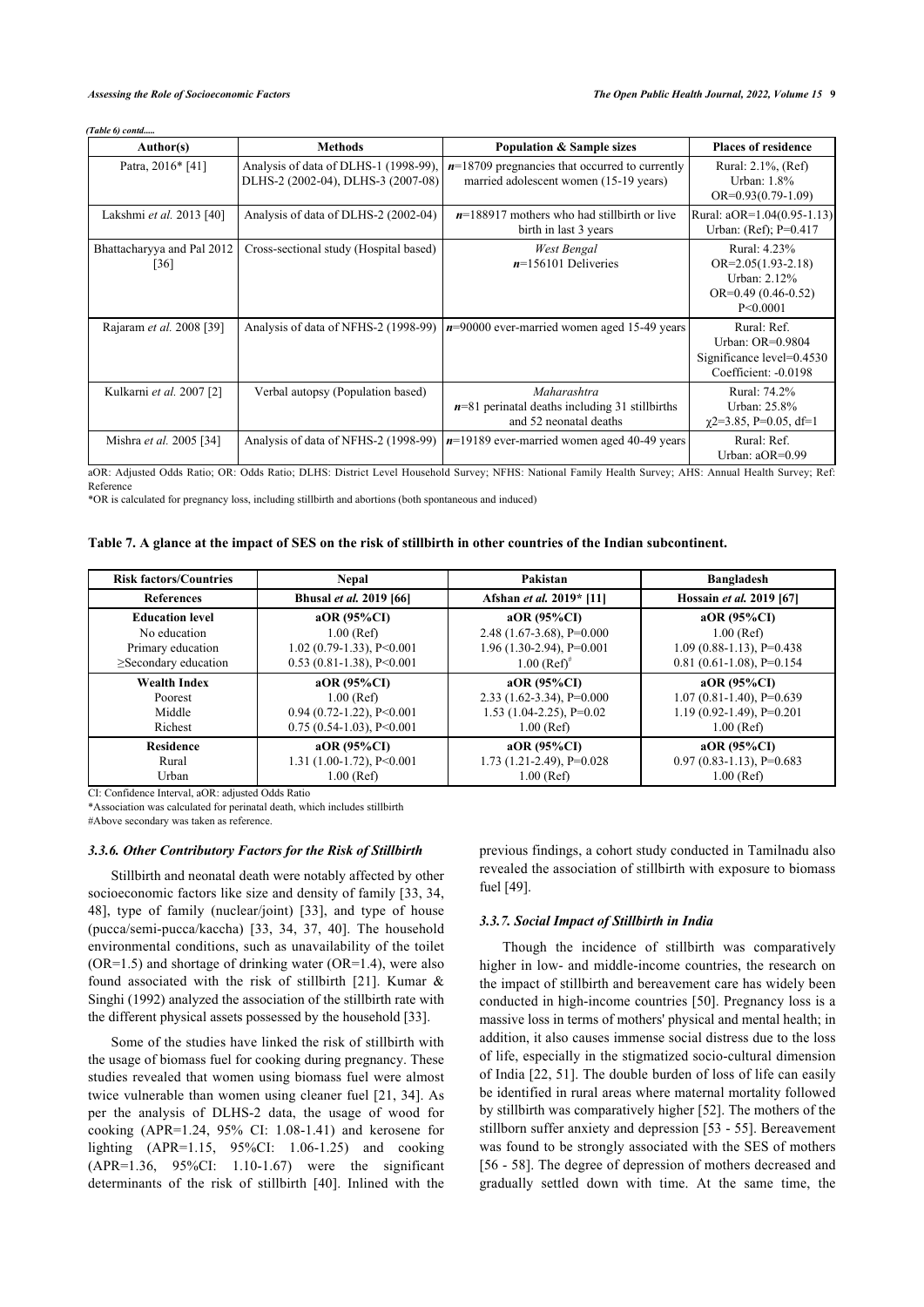*(Table 6) contd.....*

| Author(s)                                        | <b>Methods</b>                                                              | <b>Population &amp; Sample sizes</b>                                                       | <b>Places of residence</b>                                                                     |
|--------------------------------------------------|-----------------------------------------------------------------------------|--------------------------------------------------------------------------------------------|------------------------------------------------------------------------------------------------|
| Patra, 2016* [41]                                | Analysis of data of DLHS-1 (1998-99).<br>DLHS-2 (2002-04), DLHS-3 (2007-08) | $n=18709$ pregnancies that occurred to currently<br>married adolescent women (15-19 years) | Rural: 2.1%, (Ref)<br>Urban: $1.8\%$<br>$OR=0.93(0.79-1.09)$                                   |
| Lakshmi et al. 2013 [40]                         | Analysis of data of DLHS-2 (2002-04)                                        | $n=188917$ mothers who had stillbirth or live<br>birth in last 3 years                     | Rural: aOR=1.04(0.95-1.13)<br>Urban: (Ref); P=0.417                                            |
| Bhattacharyya and Pal 2012<br>$\lceil 36 \rceil$ | Cross-sectional study (Hospital based)                                      | West Bengal<br>$n=156101$ Deliveries                                                       | Rural: 4.23%<br>$OR = 2.05(1.93 - 2.18)$<br>Urban: 2.12%<br>$OR=0.49(0.46-0.52)$<br>P < 0.0001 |
| Rajaram et al. 2008 [39]                         | Analysis of data of NFHS-2 (1998-99)                                        | $n=90000$ ever-married women aged 15-49 years                                              | Rural: Ref.<br>Urban: OR=0.9804<br>Significance level=0.4530<br>Coefficient: -0.0198           |
| Kulkarni et al. 2007 [2]                         | Verbal autopsy (Population based)                                           | Maharashtra<br>$n=81$ perinatal deaths including 31 stillbirths<br>and 52 neonatal deaths  | Rural: 74.2%<br>Urban: 25.8%<br>$\gamma$ 2=3.85, P=0.05, df=1                                  |
| Mishra et al. 2005 [34]                          | Analysis of data of NFHS-2 (1998-99)                                        | $n=19189$ ever-married women aged 40-49 years                                              | Rural: Ref.<br>Urban: $aOR=0.99$                                                               |

aOR: Adjusted Odds Ratio; OR: Odds Ratio; DLHS: District Level Household Survey; NFHS: National Family Health Survey; AHS: Annual Health Survey; Ref: Reference

\*OR is calculated for pregnancy loss, including stillbirth and abortions (both spontaneous and induced)

<span id="page-8-0"></span>

|  |  | Table 7. A glance at the impact of SES on the risk of stillbirth in other countries of the Indian subcontinent. |  |  |  |
|--|--|-----------------------------------------------------------------------------------------------------------------|--|--|--|
|  |  |                                                                                                                 |  |  |  |

| <b>Risk factors/Countries</b>                   | <b>Nepal</b>                                               | Pakistan                                                       | <b>Bangladesh</b>                                            |  |
|-------------------------------------------------|------------------------------------------------------------|----------------------------------------------------------------|--------------------------------------------------------------|--|
| <b>References</b>                               | Bhusal et al. 2019 [66]                                    | Afshan et al. 2019* [11]                                       | Hossain et al. 2019 [67]                                     |  |
| <b>Education level</b><br>No education          | $aOR$ (95%CI)<br>$1.00$ (Ref)                              | $aOR(95\%CI)$<br>$2.48(1.67-3.68)$ , P=0.000                   | $aOR$ (95%CI)<br>$1.00$ (Ref)                                |  |
| Primary education<br>$\geq$ Secondary education | $1.02$ (0.79-1.33), P<0.001<br>$0.53$ (0.81-1.38), P<0.001 | $1.96(1.30-2.94)$ , P=0.001<br>$1.00$ (Ref) <sup>*</sup>       | $1.09(0.88-1.13), P=0.438$<br>$0.81(0.61-1.08)$ , P=0.154    |  |
| <b>Wealth Index</b>                             | $aOR(95\%CI)$                                              | $aOR(95\%CI)$                                                  | $aOR$ (95%CI)                                                |  |
| Poorest<br>Middle                               | $1.00$ (Ref)<br>$0.94(0.72-1.22)$ , P<0.001                | $2.33$ (1.62-3.34), P=0.000<br>$1.53$ $(1.04 - 2.25)$ , P=0.02 | $1.07(0.81-1.40)$ , P=0.639<br>$1.19(0.92 - 1.49)$ , P=0.201 |  |
| Richest                                         | $0.75$ (0.54-1.03), P<0.001                                | $1.00$ (Ref)                                                   | $1.00$ (Ref)                                                 |  |
| <b>Residence</b>                                | $aOR$ (95%CI)                                              | $aOR(95\%CI)$                                                  | $aOR$ (95%CI)                                                |  |
| Rural<br>Urban                                  | $1.31(1.00-1.72)$ , P<0.001<br>$1.00$ (Ref)                | $1.73$ $(1.21-2.49)$ , P=0.028<br>$1.00$ (Ref)                 | $0.97(0.83-1.13)$ , P= $0.683$<br>$1.00$ (Ref)               |  |

CI: Confidence Interval, aOR: adjusted Odds Ratio

\*Association was calculated for perinatal death, which includes stillbirth

#Above secondary was taken as reference.

#### *3.3.6. Other Contributory Factors for the Risk of Stillbirth*

Stillbirth and neonatal death were notably affected by other socioeconomic factors like size and density of family [[33,](#page-11-1) [34](#page-11-26), [48\]](#page-11-23), type of family (nuclear/joint) [\[33\]](#page-11-1), and type of house (pucca/semi-pucca/kaccha) [\[33,](#page-11-1) [34](#page-11-26), [37,](#page-11-5) [40\]](#page-11-22). The household environmental conditions, such as unavailability of the toilet (OR=1.5) and shortage of drinking water (OR=1.4), were also found associated with the risk of stillbirth [\[21\]](#page-11-7). Kumar & Singhi (1992) analyzed the association of the stillbirth rate with the different physical assets possessed by the household [\[33](#page-11-1)].

Some of the studies have linked the risk of stillbirth with the usage of biomass fuel for cooking during pregnancy. These studies revealed that women using biomass fuel were almost twice vulnerable than women using cleaner fuel [[21](#page-11-7), [34\]](#page-11-26). As per the analysis of DLHS-2 data, the usage of wood for cooking (APR=1.24, 95% CI: 1.08-1.41) and kerosene for lighting (APR=1.15, 95%CI: 1.06-1.25) and cooking (APR=1.36, 95%CI: 1.10-1.67) were the significant determinants of the risk of stillbirth[[40](#page-11-22)]. Inlined with the

previous findings, a cohort study conducted in Tamilnadu also revealed the association of stillbirth with exposure to biomass fuel [\[49](#page-11-27)].

# *3.3.7. Social Impact of Stillbirth in India*

Though the incidence of stillbirth was comparatively higher in low- and middle-income countries, the research on the impact of stillbirth and bereavement care has widely been conducted in high-income countries [[50](#page-11-28)]. Pregnancy loss is a massive loss in terms of mothers' physical and mental health; in addition, it also causes immense social distress due to the loss of life, especially in the stigmatized socio-cultural dimension of India [\[22](#page-11-29), [51\]](#page-11-30). The double burden of loss of life can easily be identified in rural areas where maternal mortality followed by stillbirth was comparatively higher [[52\]](#page-12-2). The mothers of the stillborn suffer anxiety and depression [\[53](#page-12-3) - [55\]](#page-12-4). Bereavement was found to be strongly associated with the SES of mothers [[56](#page-12-5) - [58\]](#page-12-6). The degree of depression of mothers decreased and gradually settled down with time. At the same time, the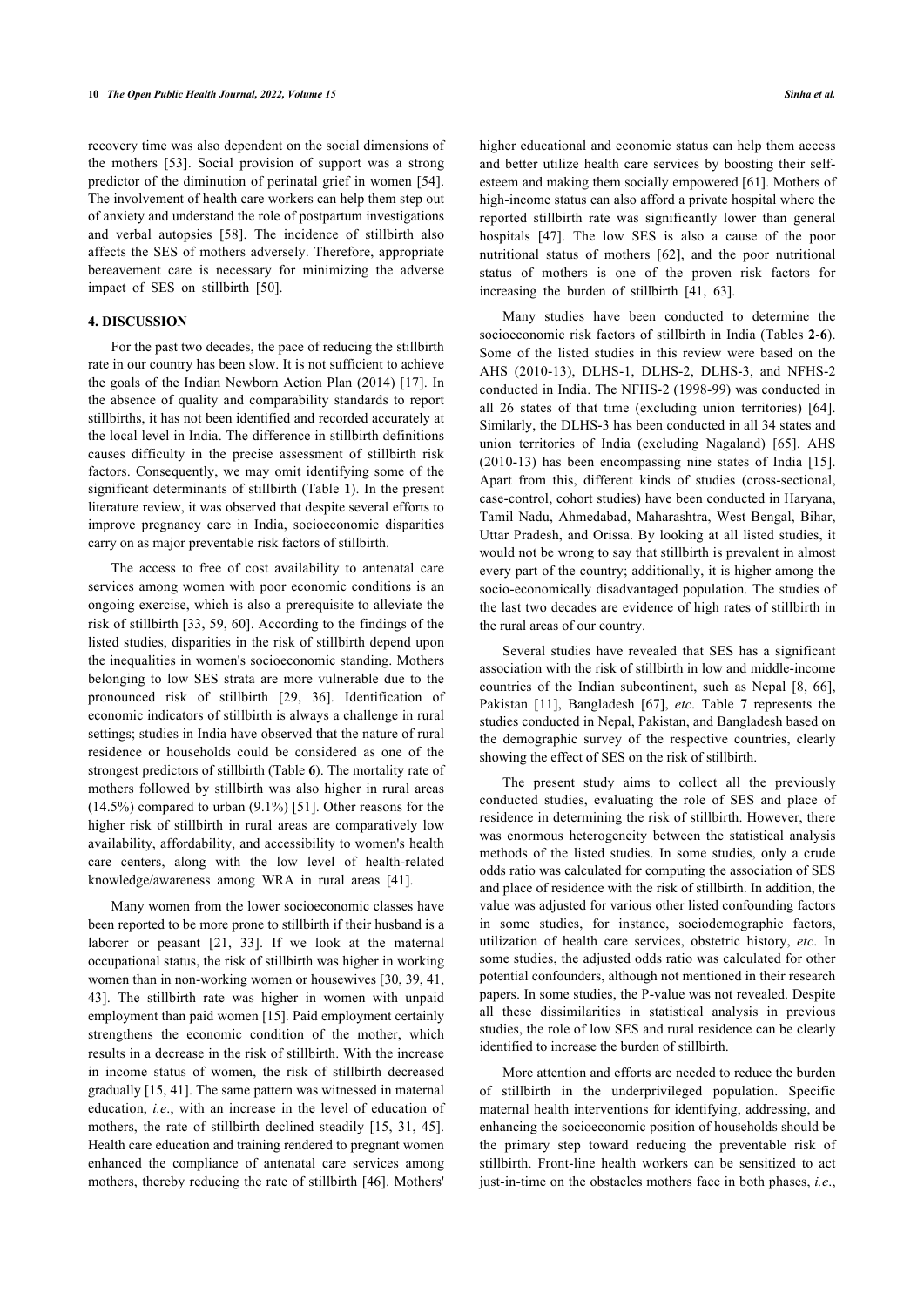recovery time was also dependent on the social dimensions of the mothers[[53](#page-12-3)]. Social provision of support was a strong predictor of the diminution of perinatal grief in women [[54\]](#page-12-7). The involvement of health care workers can help them step out of anxiety and understand the role of postpartum investigations and verbal autopsies[[58\]](#page-12-6). The incidence of stillbirth also affects the SES of mothers adversely. Therefore, appropriate bereavement care is necessary for minimizing the adverse impact of SES on stillbirth[[50\]](#page-11-28).

# **4. DISCUSSION**

For the past two decades, the pace of reducing the stillbirth rate in our country has been slow. It is not sufficient to achieve the goals of the Indian Newborn Action Plan (2014) [[17](#page-11-3)]. In the absence of quality and comparability standards to report stillbirths, it has not been identified and recorded accurately at the local level in India. The difference in stillbirth definitions causes difficulty in the precise assessment of stillbirth risk factors. Consequently, we may omit identifying some of the significant determinants of stillbirth (Table **[1](#page-3-0)**). In the present literature review, it was observed that despite several efforts to improve pregnancy care in India, socioeconomic disparities carry on as major preventable risk factors of stillbirth.

The access to free of cost availability to antenatal care services among women with poor economic conditions is an ongoing exercise, which is also a prerequisite to alleviate the risk of stillbirth [[33](#page-11-1), [59](#page-12-8), [60](#page-12-9)]. According to the findings of the listed studies, disparities in the risk of stillbirth depend upon the inequalities in women's socioeconomic standing. Mothers belonging to low SES strata are more vulnerable due to the pronounced risk of stillbirth[[29](#page-11-23), [36](#page-11-4)]. Identification of economic indicators of stillbirth is always a challenge in rural settings; studies in India have observed that the nature of rural residence or households could be considered as one of the strongest predictors of stillbirth (Table **[6](#page-7-0)**). The mortality rate of mothers followed by stillbirth was also higher in rural areas (14.5%) compared to urban (9.1%) [\[51\]](#page-11-30). Other reasons for the higher risk of stillbirth in rural areas are comparatively low availability, affordability, and accessibility to women's health care centers, along with the low level of health-related knowledge/awareness among WRA in rural areas [\[41](#page-11-13)].

Many women from the lower socioeconomic classes have been reported to be more prone to stillbirth if their husband is a laborer or peasant[[21](#page-11-7), [33](#page-11-1)]. If we look at the maternal occupational status, the risk of stillbirth was higher in working women than in non-working women or housewives [[30,](#page-11-19) [39](#page-11-7), [41](#page-11-13), [43\]](#page-11-14). The stillbirth rate was higher in women with unpaid employment than paid women [\[15](#page-11-1)]. Paid employment certainly strengthens the economic condition of the mother, which results in a decrease in the risk of stillbirth. With the increase in income status of women, the risk of stillbirth decreased gradually [\[15](#page-11-1), [41\]](#page-11-13). The same pattern was witnessed in maternal education, *i.e*., with an increase in the level of education of mothers, the rate of stillbirth declined steadily [\[15,](#page-11-1) [31,](#page-11-16) [45\]](#page-11-17). Health care education and training rendered to pregnant women enhanced the compliance of antenatal care services among mothers, thereby reducing the rate of stillbirth [\[46\]](#page-11-18). Mothers'

higher educational and economic status can help them access and better utilize health care services by boosting their selfesteem and making them socially empowered [\[61](#page-12-10)]. Mothers of high-income status can also afford a private hospital where the reported stillbirth rate was significantly lower than general hospitals[[47](#page-11-12)]. The low SES is also a cause of the poor nutritional status of mothers[[62\]](#page-12-11), and the poor nutritional status of mothers is one of the proven risk factors for increasing the burden of stillbirth [\[41](#page-11-13), [63\]](#page-12-12).

Many studies have been conducted to determine the socioeconomic risk factors of stillbirth in India (Tables **[2](#page-3-1)**-**[6](#page-7-0)**). Some of the listed studies in this review were based on the AHS (2010-13), DLHS-1, DLHS-2, DLHS-3, and NFHS-2 conducted in India. The NFHS-2 (1998-99) was conducted in all 26 states of that time (excluding union territories)[[64](#page-12-13)]. Similarly, the DLHS-3 has been conducted in all 34 states and union territories of India (excluding Nagaland) [\[65](#page-12-14)]. AHS (2010-13) has been encompassing nine states of India[[15](#page-11-1)]. Apart from this, different kinds of studies (cross-sectional, case-control, cohort studies) have been conducted in Haryana, Tamil Nadu, Ahmedabad, Maharashtra, West Bengal, Bihar, Uttar Pradesh, and Orissa. By looking at all listed studies, it would not be wrong to say that stillbirth is prevalent in almost every part of the country; additionally, it is higher among the socio-economically disadvantaged population. The studies of the last two decades are evidence of high rates of stillbirth in the rural areas of our country.

Several studies have revealed that SES has a significant association with the risk of stillbirth in low and middle-income countries of the Indian subcontinent, such as Nepal [\[8](#page-10-9), [66](#page-12-0)], Pakistan [\[11\]](#page-10-10), Bangladesh [\[67](#page-12-1)], *etc*. Table**7** represents the studies conducted in Nepal, Pakistan, and Bangladesh based on the demographic survey of the respective countries, clearly showing the effect of SES on the risk of stillbirth.

The present study aims to collect all the previously conducted studies, evaluating the role of SES and place of residence in determining the risk of stillbirth. However, there was enormous heterogeneity between the statistical analysis methods of the listed studies. In some studies, only a crude odds ratio was calculated for computing the association of SES and place of residence with the risk of stillbirth. In addition, the value was adjusted for various other listed confounding factors in some studies, for instance, sociodemographic factors, utilization of health care services, obstetric history, *etc*. In some studies, the adjusted odds ratio was calculated for other potential confounders, although not mentioned in their research papers. In some studies, the P-value was not revealed. Despite all these dissimilarities in statistical analysis in previous studies, the role of low SES and rural residence can be clearly identified to increase the burden of stillbirth.

More attention and efforts are needed to reduce the burden of stillbirth in the underprivileged population. Specific maternal health interventions for identifying, addressing, and enhancing the socioeconomic position of households should be the primary step toward reducing the preventable risk of stillbirth. Front-line health workers can be sensitized to act just-in-time on the obstacles mothers face in both phases, *i.e*.,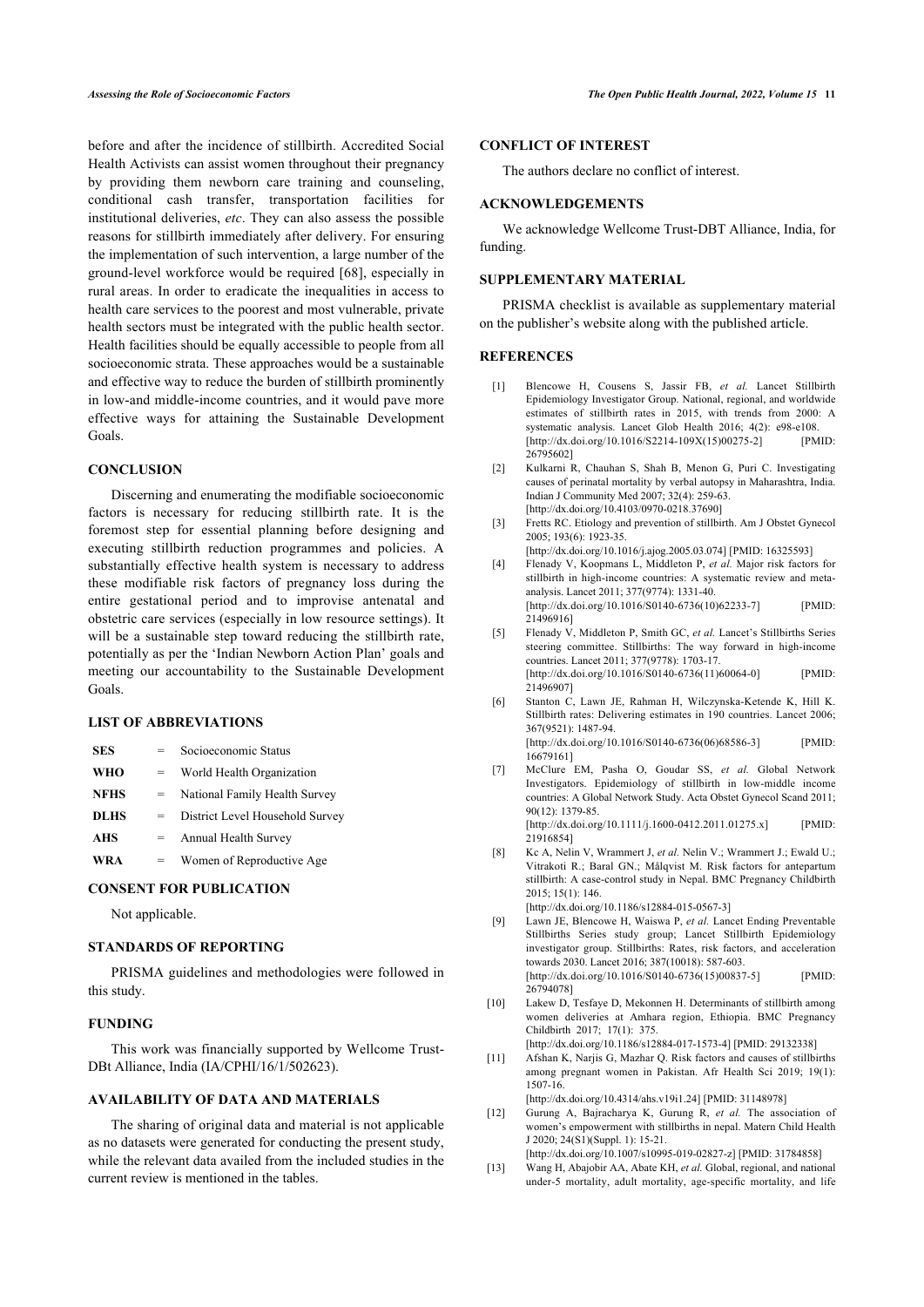before and after the incidence of stillbirth. Accredited Social Health Activists can assist women throughout their pregnancy by providing them newborn care training and counseling, conditional cash transfer, transportation facilities for institutional deliveries, *etc*. They can also assess the possible reasons for stillbirth immediately after delivery. For ensuring the implementation of such intervention, a large number of the ground-level workforce would be required [[68\]](#page-12-15), especially in rural areas. In order to eradicate the inequalities in access to health care services to the poorest and most vulnerable, private health sectors must be integrated with the public health sector. Health facilities should be equally accessible to people from all socioeconomic strata. These approaches would be a sustainable and effective way to reduce the burden of stillbirth prominently in low-and middle-income countries, and it would pave more effective ways for attaining the Sustainable Development Goals.

# <span id="page-10-1"></span><span id="page-10-0"></span>**CONCLUSION**

<span id="page-10-3"></span><span id="page-10-2"></span>Discerning and enumerating the modifiable socioeconomic factors is necessary for reducing stillbirth rate. It is the foremost step for essential planning before designing and executing stillbirth reduction programmes and policies. A substantially effective health system is necessary to address these modifiable risk factors of pregnancy loss during the entire gestational period and to improvise antenatal and obstetric care services (especially in low resource settings). It will be a sustainable step toward reducing the stillbirth rate, potentially as per the 'Indian Newborn Action Plan' goals and meeting our accountability to the Sustainable Development Goals.

# <span id="page-10-5"></span><span id="page-10-4"></span>**LIST OF ABBREVIATIONS**

<span id="page-10-6"></span>

| <b>SES</b>  | $=$ | Socioeconomic Status            |
|-------------|-----|---------------------------------|
| <b>WHO</b>  | $=$ | World Health Organization       |
| <b>NFHS</b> | $=$ | National Family Health Survey   |
| <b>DLHS</b> | $=$ | District Level Household Survey |
| <b>AHS</b>  | $=$ | Annual Health Survey            |
| <b>WRA</b>  |     | Women of Reproductive Age       |
|             |     |                                 |

#### <span id="page-10-9"></span>**CONSENT FOR PUBLICATION**

Not applicable.

# **STANDARDS OF REPORTING**

PRISMA guidelines and methodologies were followed in this study.

#### **FUNDING**

<span id="page-10-10"></span>This work was financially supported by Wellcome Trust-DBt Alliance, India (IA/CPHI/16/1/502623).

# **AVAILABILITY OF DATA AND MATERIALS**

<span id="page-10-8"></span><span id="page-10-7"></span>The sharing of original data and material is not applicable as no datasets were generated for conducting the present study, while the relevant data availed from the included studies in the current review is mentioned in the tables.

# **CONFLICT OF INTEREST**

The authors declare no conflict of interest.

## **ACKNOWLEDGEMENTS**

We acknowledge Wellcome Trust-DBT Alliance, India, for funding.

# **SUPPLEMENTARY MATERIAL**

PRISMA checklist is available as supplementary material on the publisher's website along with the published article.

#### **REFERENCES**

- [1] Blencowe H, Cousens S, Jassir FB, *et al.* Lancet Stillbirth Epidemiology Investigator Group. National, regional, and worldwide estimates of stillbirth rates in 2015, with trends from 2000: A systematic analysis. Lancet Glob Health 2016;  $4(2)$ : e98-e108.<br>
Ibttp://dx.doi.org/10.1016/S2214-109X(15)00275-21 [PMID:  $[http://dx.doi.org/10.1016/S2214-109X(15)00275-2]$  $[http://dx.doi.org/10.1016/S2214-109X(15)00275-2]$ [26795602\]](http://www.ncbi.nlm.nih.gov/pubmed/26795602)
- [2] Kulkarni R, Chauhan S, Shah B, Menon G, Puri C. Investigating causes of perinatal mortality by verbal autopsy in Maharashtra, India. Indian J Community Med 2007; 32(4): 259-63. [\[http://dx.doi.org/10.4103/0970-0218.37690](http://dx.doi.org/10.4103/0970-0218.37690)]
- [3] Fretts RC. Etiology and prevention of stillbirth. Am J Obstet Gynecol 2005; 193(6): 1923-35.

[\[http://dx.doi.org/10.1016/j.ajog.2005.03.074\]](http://dx.doi.org/10.1016/j.ajog.2005.03.074) [PMID: [16325593\]](http://www.ncbi.nlm.nih.gov/pubmed/16325593)

- [4] Flenady V, Koopmans L, Middleton P, *et al.* Major risk factors for stillbirth in high-income countries: A systematic review and metaanalysis. Lancet 2011; 377(9774): 1331-40. [\[http://dx.doi.org/10.1016/S0140-6736\(10\)62233-7](http://dx.doi.org/10.1016/S0140-6736(10)62233-7)] [PMID: [21496916\]](http://www.ncbi.nlm.nih.gov/pubmed/21496916)
- [5] Flenady V, Middleton P, Smith GC, *et al.* Lancet's Stillbirths Series steering committee. Stillbirths: The way forward in high-income countries. Lancet 2011; 377(9778): 1703-17. [\[http://dx.doi.org/10.1016/S0140-6736\(11\)60064-0](http://dx.doi.org/10.1016/S0140-6736(11)60064-0)] [PMID: [21496907\]](http://www.ncbi.nlm.nih.gov/pubmed/21496907)
- [6] Stanton C, Lawn JE, Rahman H, Wilczynska-Ketende K, Hill K. Stillbirth rates: Delivering estimates in 190 countries. Lancet 2006; 367(9521): 1487-94. [\[http://dx.doi.org/10.1016/S0140-6736\(06\)68586-3](http://dx.doi.org/10.1016/S0140-6736(06)68586-3)] [PMID: [16679161\]](http://www.ncbi.nlm.nih.gov/pubmed/16679161)
- [7] McClure EM, Pasha O, Goudar SS, *et al.* Global Network Investigators. Epidemiology of stillbirth in low-middle income countries: A Global Network Study. Acta Obstet Gynecol Scand 2011; 90(12): 1379-85. [\[http://dx.doi.org/10.1111/j.1600-0412.2011.01275.x\]](http://dx.doi.org/10.1111/j.1600-0412.2011.01275.x) [PMID: [21916854\]](http://www.ncbi.nlm.nih.gov/pubmed/21916854)
- [8] Kc A, Nelin V, Wrammert J, *et al.* Nelin V.; Wrammert J.; Ewald U.; Vitrakoti R.; Baral GN.; Målqvist M. Risk factors for antepartum stillbirth: A case-control study in Nepal. BMC Pregnancy Childbirth 2015; 15(1): 146.

[\[http://dx.doi.org/10.1186/s12884-015-0567-3\]](http://dx.doi.org/10.1186/s12884-015-0567-3)

- [9] Lawn JE, Blencowe H, Waiswa P, *et al.* Lancet Ending Preventable Stillbirths Series study group; Lancet Stillbirth Epidemiology investigator group. Stillbirths: Rates, risk factors, and acceleration towards 2030. Lancet 2016; 387(10018): 587-603. [\[http://dx.doi.org/10.1016/S0140-6736\(15\)00837-5](http://dx.doi.org/10.1016/S0140-6736(15)00837-5)] [PMID: [26794078\]](http://www.ncbi.nlm.nih.gov/pubmed/26794078)
- [10] Lakew D, Tesfaye D, Mekonnen H. Determinants of stillbirth among women deliveries at Amhara region, Ethiopia. BMC Pregnancy Childbirth 2017; 17(1): 375.
- [\[http://dx.doi.org/10.1186/s12884-017-1573-4\]](http://dx.doi.org/10.1186/s12884-017-1573-4) [PMID: [29132338](http://www.ncbi.nlm.nih.gov/pubmed/29132338)] [11] Afshan K, Narjis G, Mazhar Q. Risk factors and causes of stillbirths among pregnant women in Pakistan. Afr Health Sci 2019; 19(1): 1507-16.

[\[http://dx.doi.org/10.4314/ahs.v19i1.24](http://dx.doi.org/10.4314/ahs.v19i1.24)] [PMID: [31148978\]](http://www.ncbi.nlm.nih.gov/pubmed/31148978)

[12] Gurung A, Bajracharya K, Gurung R, *et al.* The association of women's empowerment with stillbirths in nepal. Matern Child Health J 2020; 24(S1)(Suppl. 1): 15-21.

[\[http://dx.doi.org/10.1007/s10995-019-02827-z\]](http://dx.doi.org/10.1007/s10995-019-02827-z) [PMID: [31784858](http://www.ncbi.nlm.nih.gov/pubmed/31784858)]

[13] Wang H, Abajobir AA, Abate KH, *et al.* Global, regional, and national under-5 mortality, adult mortality, age-specific mortality, and life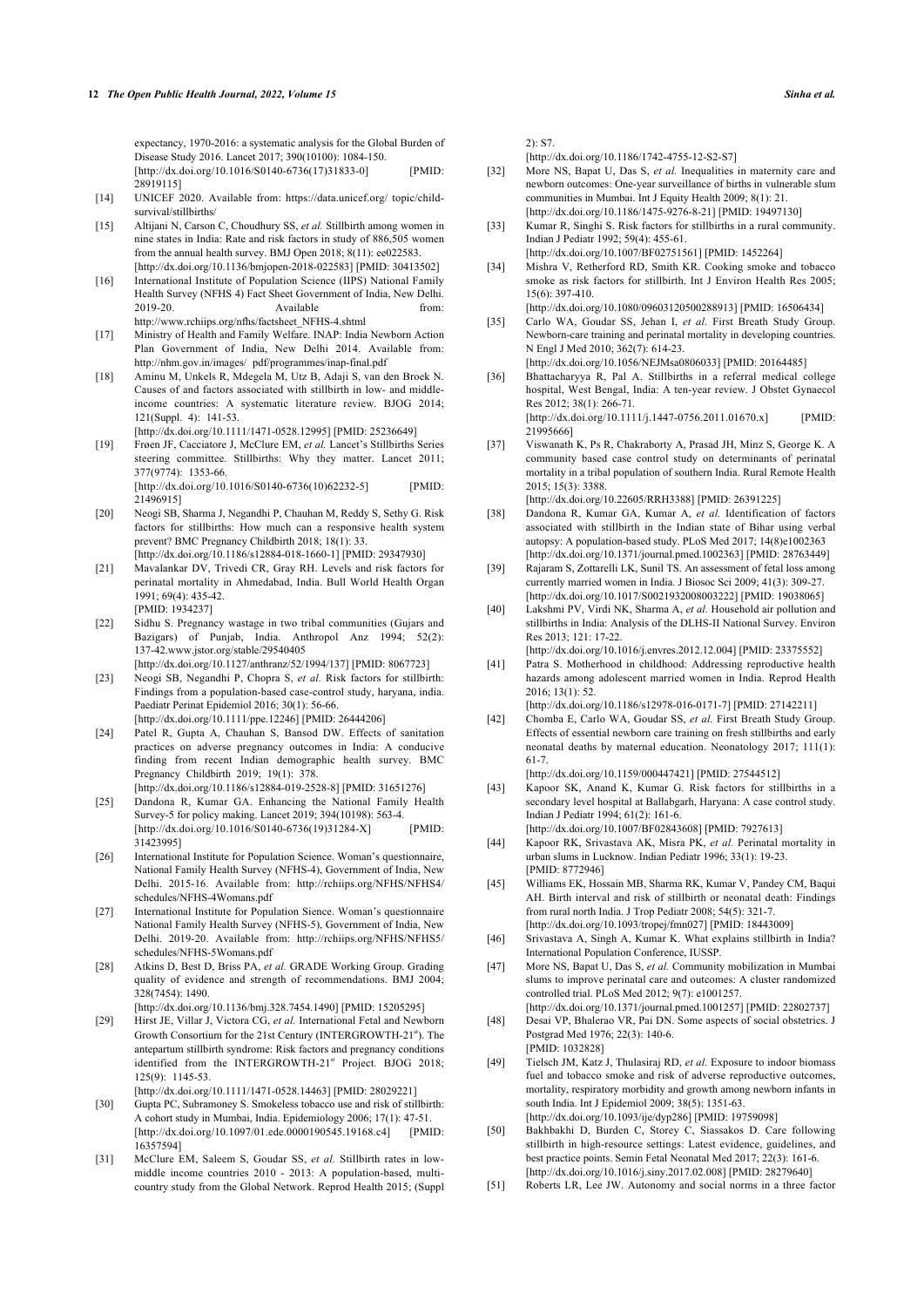expectancy, 1970-2016: a systematic analysis for the Global Burden of Disease Study 2016. Lancet 2017; 390(10100): 1084-150. [\[http://dx.doi.org/10.1016/S0140-6736\(17\)31833-0](http://dx.doi.org/10.1016/S0140-6736(17)31833-0)] [PMID: [28919115\]](http://www.ncbi.nlm.nih.gov/pubmed/28919115)

- <span id="page-11-24"></span><span id="page-11-0"></span>[14] UNICEF 2020. Available from: [https://data.unicef.org/ topic/child](https://data.unicef.org/topic/child-survival/stillbirths/)[survival/stillbirths/](https://data.unicef.org/topic/child-survival/stillbirths/)
- <span id="page-11-1"></span>[15] Altijani N, Carson C, Choudhury SS, *et al.* Stillbirth among women in nine states in India: Rate and risk factors in study of 886,505 women from the annual health survey. BMJ Open 2018; 8(11): ee022583. [\[http://dx.doi.org/10.1136/bmjopen-2018-022583](http://dx.doi.org/10.1136/bmjopen-2018-022583)] [PMID: [30413502\]](http://www.ncbi.nlm.nih.gov/pubmed/30413502)
- <span id="page-11-26"></span><span id="page-11-2"></span>[16] International Institute of Population Science (IIPS) National Family Health Survey (NFHS 4) Fact Sheet Government of India, New Delhi. 2019-20. Available from: [http://www.rchiips.org/nfhs/factsheet\\_NFHS-4.shtml](http://www.rchiips.org/nfhs/factsheet_NFHS-4.shtml)
- <span id="page-11-20"></span><span id="page-11-3"></span>[17] Ministry of Health and Family Welfare. INAP: India Newborn Action Plan Government of India, New Delhi 2014. Available from: [http://nhm.gov.in/images/ pdf/programmes/inap-final.pdf](http://nhm.gov.in/images/pdf/programmes/inap-final.pdf)
- <span id="page-11-4"></span>[18] Aminu M, Unkels R, Mdegela M, Utz B, Adaji S, van den Broek N. Causes of and factors associated with stillbirth in low- and middleincome countries: A systematic literature review. BJOG 2014; 121(Suppl. 4): 141-53. [\[http://dx.doi.org/10.1111/1471-0528.12995\]](http://dx.doi.org/10.1111/1471-0528.12995) [PMID: [25236649](http://www.ncbi.nlm.nih.gov/pubmed/25236649)]
- <span id="page-11-5"></span>[19] Frøen JF, Cacciatore J, McClure EM, *et al.* Lancet's Stillbirths Series steering committee. Stillbirths: Why they matter. Lancet 2011; 377(9774): 1353-66.

[\[http://dx.doi.org/10.1016/S0140-6736\(10\)62232-5](http://dx.doi.org/10.1016/S0140-6736(10)62232-5)] [PMID: [21496915\]](http://www.ncbi.nlm.nih.gov/pubmed/21496915)

- <span id="page-11-6"></span>[20] Neogi SB, Sharma J, Negandhi P, Chauhan M, Reddy S, Sethy G. Risk factors for stillbirths: How much can a responsive health system prevent? BMC Pregnancy Childbirth 2018; 18(1): 33. [\[http://dx.doi.org/10.1186/s12884-018-1660-1](http://dx.doi.org/10.1186/s12884-018-1660-1)] [PMID: [29347930\]](http://www.ncbi.nlm.nih.gov/pubmed/29347930)
- <span id="page-11-7"></span>[21] Mavalankar DV, Trivedi CR, Gray RH. Levels and risk factors for perinatal mortality in Ahmedabad, India. Bull World Health Organ 1991; 69(4): 435-42. [PMID: [1934237\]](http://www.ncbi.nlm.nih.gov/pubmed/1934237)
- <span id="page-11-29"></span><span id="page-11-22"></span>[22] Sidhu S. Pregnancy wastage in two tribal communities (Gujars and Bazigars) of Punjab, India. Anthropol Anz 1994; 52(2): 137-42[.www.jstor.org/stable/29540405](http://www.jstor.org/stable/29540405)

[\[http://dx.doi.org/10.1127/anthranz/52/1994/137\]](http://dx.doi.org/10.1127/anthranz/52/1994/137) [PMID: [8067723\]](http://www.ncbi.nlm.nih.gov/pubmed/8067723)

- <span id="page-11-25"></span><span id="page-11-13"></span>[23] Neogi SB, Negandhi P, Chopra S, *et al.* Risk factors for stillbirth: Findings from a population-based case-control study, haryana, india. Paediatr Perinat Epidemiol 2016; 30(1): 56-66. [\[http://dx.doi.org/10.1111/ppe.12246\]](http://dx.doi.org/10.1111/ppe.12246) [PMID: [26444206](http://www.ncbi.nlm.nih.gov/pubmed/26444206)]
- <span id="page-11-21"></span><span id="page-11-8"></span>[24] Patel R, Gupta A, Chauhan S, Bansod DW. Effects of sanitation practices on adverse pregnancy outcomes in India: A conducive finding from recent Indian demographic health survey. BMC Pregnancy Childbirth 2019; 19(1): 378. [\[http://dx.doi.org/10.1186/s12884-019-2528-8](http://dx.doi.org/10.1186/s12884-019-2528-8)] [PMID: [31651276\]](http://www.ncbi.nlm.nih.gov/pubmed/31651276)
- <span id="page-11-14"></span><span id="page-11-9"></span>[25] Dandona R, Kumar GA. Enhancing the National Family Health Survey-5 for policy making. Lancet 2019; 394(10198): 563-4. [\[http://dx.doi.org/10.1016/S0140-6736\(19\)31284-X\]](http://dx.doi.org/10.1016/S0140-6736(19)31284-X) [PMID: [31423995\]](http://www.ncbi.nlm.nih.gov/pubmed/31423995)
- <span id="page-11-15"></span><span id="page-11-10"></span>[26] International Institute for Population Science. Woman's questionnaire, National Family Health Survey (NFHS-4), Government of India, New Delhi. 2015-16. Available from: [http://rchiips.org/NFHS/NFHS4/](http://rchiips.org/NFHS/NFHS4/schedules/NFHS-4Womans.pdf) [schedules/NFHS-4Womans.pdf](http://rchiips.org/NFHS/NFHS4/schedules/NFHS-4Womans.pdf)
- <span id="page-11-18"></span><span id="page-11-17"></span><span id="page-11-11"></span>[27] International Institute for Population Sience. Woman's questionnaire National Family Health Survey (NFHS-5), Government of India, New Delhi. 2019-20. Available from: [http://rchiips.org/NFHS/NFHS5/](http://rchiips.org/NFHS/NFHS5/schedules/NFHS-5Womans.pdf) [schedules/NFHS-5Womans.pdf](http://rchiips.org/NFHS/NFHS5/schedules/NFHS-5Womans.pdf)
- <span id="page-11-12"></span>[28] Atkins D, Best D, Briss PA, *et al.* GRADE Working Group. Grading quality of evidence and strength of recommendations. BMJ 2004; 328(7454): 1490.
- <span id="page-11-23"></span>[\[http://dx.doi.org/10.1136/bmj.328.7454.1490\]](http://dx.doi.org/10.1136/bmj.328.7454.1490) [PMID: [15205295](http://www.ncbi.nlm.nih.gov/pubmed/15205295)] [29] Hirst JE, Villar J, Victora CG, *et al.* International Fetal and Newborn Growth Consortium for the 21st Century (INTERGROWTH-21<sup>st</sup>). The antepartum stillbirth syndrome: Risk factors and pregnancy conditions identified from the INTERGROWTH-21st Project. BJOG 2018; 125(9): 1145-53.

[\[http://dx.doi.org/10.1111/1471-0528.14463\]](http://dx.doi.org/10.1111/1471-0528.14463) [PMID: [28029221](http://www.ncbi.nlm.nih.gov/pubmed/28029221)]

- <span id="page-11-28"></span><span id="page-11-27"></span><span id="page-11-19"></span>[30] Gupta PC, Subramoney S. Smokeless tobacco use and risk of stillbirth: A cohort study in Mumbai, India. Epidemiology 2006; 17(1): 47-51. [\[http://dx.doi.org/10.1097/01.ede.0000190545.19168.c4](http://dx.doi.org/10.1097/01.ede.0000190545.19168.c4)] [PMID: [16357594\]](http://www.ncbi.nlm.nih.gov/pubmed/16357594)
- <span id="page-11-30"></span><span id="page-11-16"></span>[31] McClure EM, Saleem S, Goudar SS, *et al.* Stillbirth rates in lowmiddle income countries 2010 - 2013: A population-based, multicountry study from the Global Network. Reprod Health 2015; (Suppl

2): S7.

[\[http://dx.doi.org/10.1186/1742-4755-12-S2-S7\]](http://dx.doi.org/10.1186/1742-4755-12-S2-S7)

- [32] More NS, Bapat U, Das S, *et al.* Inequalities in maternity care and newborn outcomes: One-year surveillance of births in vulnerable slum communities in Mumbai. Int J Equity Health 2009; 8(1): 21. [\[http://dx.doi.org/10.1186/1475-9276-8-21\]](http://dx.doi.org/10.1186/1475-9276-8-21) [PMID: [19497130\]](http://www.ncbi.nlm.nih.gov/pubmed/19497130)
- [33] Kumar R, Singhi S. Risk factors for stillbirths in a rural community. Indian J Pediatr 1992; 59(4): 455-61. [\[http://dx.doi.org/10.1007/BF02751561](http://dx.doi.org/10.1007/BF02751561)] [PMID: [1452264](http://www.ncbi.nlm.nih.gov/pubmed/1452264)]
- [34] Mishra V, Retherford RD, Smith KR. Cooking smoke and tobacco smoke as risk factors for stillbirth. Int J Environ Health Res 2005; 15(6): 397-410.
	- [\[http://dx.doi.org/10.1080/09603120500288913\]](http://dx.doi.org/10.1080/09603120500288913) [PMID: [16506434\]](http://www.ncbi.nlm.nih.gov/pubmed/16506434)
- [35] Carlo WA, Goudar SS, Jehan I, et al. First Breath Study Group. Newborn-care training and perinatal mortality in developing countries. N Engl J Med 2010; 362(7): 614-23.
	- [\[http://dx.doi.org/10.1056/NEJMsa0806033](http://dx.doi.org/10.1056/NEJMsa0806033)] [PMID: [20164485\]](http://www.ncbi.nlm.nih.gov/pubmed/20164485)
- [36] Bhattacharyya R, Pal A. Stillbirths in a referral medical college hospital, West Bengal, India: A ten-year review. J Obstet Gynaecol Res 2012; 38(1): 266-71.

[\[http://dx.doi.org/10.1111/j.1447-0756.2011.01670.x\]](http://dx.doi.org/10.1111/j.1447-0756.2011.01670.x) [PMID: [21995666\]](http://www.ncbi.nlm.nih.gov/pubmed/21995666)

[37] Viswanath K, Ps R, Chakraborty A, Prasad JH, Minz S, George K. A community based case control study on determinants of perinatal mortality in a tribal population of southern India. Rural Remote Health 2015; 15(3): 3388.

[\[http://dx.doi.org/10.22605/RRH3388](http://dx.doi.org/10.22605/RRH3388)] [PMID: [26391225\]](http://www.ncbi.nlm.nih.gov/pubmed/26391225)

- [38] Dandona R, Kumar GA, Kumar A, *et al.* Identification of factors associated with stillbirth in the Indian state of Bihar using verbal autopsy: A population-based study. PLoS Med 2017; 14(8)e1002363 [\[http://dx.doi.org/10.1371/journal.pmed.1002363\]](http://dx.doi.org/10.1371/journal.pmed.1002363) [PMID: [28763449](http://www.ncbi.nlm.nih.gov/pubmed/28763449)]
- [39] Rajaram S, Zottarelli LK, Sunil TS. An assessment of fetal loss among currently married women in India. J Biosoc Sci 2009; 41(3): 309-27. [\[http://dx.doi.org/10.1017/S0021932008003222](http://dx.doi.org/10.1017/S0021932008003222)] [PMID: [19038065\]](http://www.ncbi.nlm.nih.gov/pubmed/19038065)
- [40] Lakshmi PV, Virdi NK, Sharma A, *et al.* Household air pollution and stillbirths in India: Analysis of the DLHS-II National Survey. Environ Res 2013; 121: 17-22.

[\[http://dx.doi.org/10.1016/j.envres.2012.12.004](http://dx.doi.org/10.1016/j.envres.2012.12.004)] [PMID: [23375552\]](http://www.ncbi.nlm.nih.gov/pubmed/23375552)

- [41] Patra S. Motherhood in childhood: Addressing reproductive health hazards among adolescent married women in India. Reprod Health 2016; 13(1): 52. [\[http://dx.doi.org/10.1186/s12978-016-0171-7\]](http://dx.doi.org/10.1186/s12978-016-0171-7) [PMID: [27142211](http://www.ncbi.nlm.nih.gov/pubmed/27142211)]
- [42] Chomba E, Carlo WA, Goudar SS, *et al.* First Breath Study Group. Effects of essential newborn care training on fresh stillbirths and early neonatal deaths by maternal education. Neonatology 2017; 111(1): 61-7.

[\[http://dx.doi.org/10.1159/000447421\]](http://dx.doi.org/10.1159/000447421) [PMID: [27544512\]](http://www.ncbi.nlm.nih.gov/pubmed/27544512)

- [43] Kapoor SK, Anand K, Kumar G. Risk factors for stillbirths in a secondary level hospital at Ballabgarh, Haryana: A case control study. Indian J Pediatr 1994; 61(2): 161-6. [\[http://dx.doi.org/10.1007/BF02843608](http://dx.doi.org/10.1007/BF02843608)] [PMID: [7927613](http://www.ncbi.nlm.nih.gov/pubmed/7927613)]
- [44] Kapoor RK, Srivastava AK, Misra PK, *et al.* Perinatal mortality in urban slums in Lucknow. Indian Pediatr 1996; 33(1): 19-23. [PMID: [8772946](http://www.ncbi.nlm.nih.gov/pubmed/8772946)]
- [45] Williams EK, Hossain MB, Sharma RK, Kumar V, Pandey CM, Baqui AH. Birth interval and risk of stillbirth or neonatal death: Findings from rural north India. J Trop Pediatr 2008; 54(5): 321-7. [\[http://dx.doi.org/10.1093/tropej/fmn027\]](http://dx.doi.org/10.1093/tropej/fmn027) [PMID: [18443009](http://www.ncbi.nlm.nih.gov/pubmed/18443009)]
- [46] Srivastava A, Singh A, Kumar K. What explains stillbirth in India? International Population Conference, IUSSP.
- [47] More NS, Bapat U, Das S, *et al.* Community mobilization in Mumbai slums to improve perinatal care and outcomes: A cluster randomized controlled trial. PLoS Med 2012; 9(7): e1001257.
- [\[http://dx.doi.org/10.1371/journal.pmed.1001257\]](http://dx.doi.org/10.1371/journal.pmed.1001257) [PMID: [22802737](http://www.ncbi.nlm.nih.gov/pubmed/22802737)] [48] Desai VP, Bhalerao VR, Pai DN. Some aspects of social obstetrics. J Postgrad Med 1976; 22(3): 140-6. [PMID: [1032828](http://www.ncbi.nlm.nih.gov/pubmed/1032828)]
- [49] Tielsch JM, Katz J, Thulasiraj RD, *et al.* Exposure to indoor biomass fuel and tobacco smoke and risk of adverse reproductive outcomes, mortality, respiratory morbidity and growth among newborn infants in south India. Int J Epidemiol 2009; 38(5): 1351-63. [\[http://dx.doi.org/10.1093/ije/dyp286](http://dx.doi.org/10.1093/ije/dyp286)] [PMID: [19759098](http://www.ncbi.nlm.nih.gov/pubmed/19759098)]
- [50] Bakhbakhi D, Burden C, Storey C, Siassakos D. Care following stillbirth in high-resource settings: Latest evidence, guidelines, and best practice points. Semin Fetal Neonatal Med 2017; 22(3): 161-6. [\[http://dx.doi.org/10.1016/j.siny.2017.02.008\]](http://dx.doi.org/10.1016/j.siny.2017.02.008) [PMID: [28279640](http://www.ncbi.nlm.nih.gov/pubmed/28279640)]
- [51] Roberts LR, Lee JW. Autonomy and social norms in a three factor